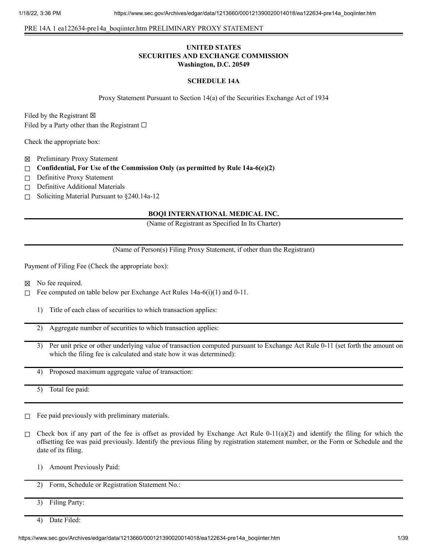#### PRE 14A 1 ea122634-pre14a\_boqiinter.htm PRELIMINARY PROXY STATEMENT

## **UNITED STATES SECURITIES AND EXCHANGE COMMISSION Washington, D.C. 20549**

#### **SCHEDULE 14A**

Proxy Statement Pursuant to Section 14(a) of the Securities Exchange Act of 1934

Filed by the Registrant  $\boxtimes$ Filed by a Party other than the Registrant  $\Box$ 

Check the appropriate box:

- ☒ Preliminary Proxy Statement
- ☐ **Confidential, For Use of the Commission Only (as permitted by Rule 14a-6(e)(2)**
- □ Definitive Proxy Statement
- □ Definitive Additional Materials
- ☐ Soliciting Material Pursuant to §240.14a-12

## **BOQI INTERNATIONAL MEDICAL INC.**

(Name of Registrant as Specified In Its Charter)

(Name of Person(s) Filing Proxy Statement, if other than the Registrant)

Payment of Filing Fee (Check the appropriate box):

- ☒ No fee required.
- □ Fee computed on table below per Exchange Act Rules  $14a-6(i)(1)$  and  $0-11$ .
	- 1) Title of each class of securities to which transaction applies:
	- 2) Aggregate number of securities to which transaction applies:
	- 3) Per unit price or other underlying value of transaction computed pursuant to Exchange Act Rule 0-11 (set forth the amount on which the filing fee is calculated and state how it was determined):
	- 4) Proposed maximum aggregate value of transaction:

5) Total fee paid:

- $□$  Fee paid previously with preliminary materials.
- □ Check box if any part of the fee is offset as provided by Exchange Act Rule 0-11(a)(2) and identify the filing for which the offsetting fee was paid previously. Identify the previous filing by registration statement number, or the Form or Schedule and the date of its filing.
	- 1) Amount Previously Paid:

2) Form, Schedule or Registration Statement No.:

- 3) Filing Party:
- 4) Date Filed: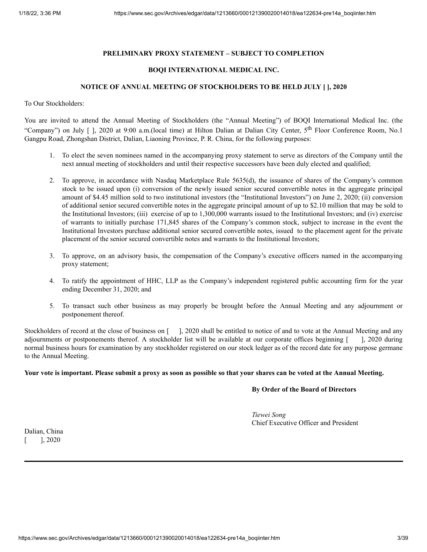## **PRELIMINARY PROXY STATEMENT – SUBJECT TO COMPLETION**

#### **BOQI INTERNATIONAL MEDICAL INC.**

#### **NOTICE OF ANNUAL MEETING OF STOCKHOLDERS TO BE HELD JULY [ ], 2020**

To Our Stockholders:

You are invited to attend the Annual Meeting of Stockholders (the "Annual Meeting") of BOQI International Medical Inc. (the "Company") on July [ ], 2020 at 9:00 a.m.(local time) at Hilton Dalian at Dalian City Center, 5<sup>th</sup> Floor Conference Room, No.1 Gangpu Road, Zhongshan District, Dalian, Liaoning Province, P. R. China, for the following purposes:

- 1. To elect the seven nominees named in the accompanying proxy statement to serve as directors of the Company until the next annual meeting of stockholders and until their respective successors have been duly elected and qualified;
- 2. To approve, in accordance with Nasdaq Marketplace Rule 5635(d), the issuance of shares of the Company's common stock to be issued upon (i) conversion of the newly issued senior secured convertible notes in the aggregate principal amount of \$4.45 million sold to two institutional investors (the "Institutional Investors") on June 2, 2020; (ii) conversion of additional senior secured convertible notes in the aggregate principal amount of up to \$2.10 million that may be sold to the Institutional Investors; (iii) exercise of up to 1,300,000 warrants issued to the Institutional Investors; and (iv) exercise of warrants to initially purchase 171,845 shares of the Company's common stock, subject to increase in the event the Institutional Investors purchase additional senior secured convertible notes, issued to the placement agent for the private placement of the senior secured convertible notes and warrants to the Institutional Investors;
- 3. To approve, on an advisory basis, the compensation of the Company's executive officers named in the accompanying proxy statement;
- 4. To ratify the appointment of HHC, LLP as the Company's independent registered public accounting firm for the year ending December 31, 2020; and
- 5. To transact such other business as may properly be brought before the Annual Meeting and any adjournment or postponement thereof.

Stockholders of record at the close of business on [ ], 2020 shall be entitled to notice of and to vote at the Annual Meeting and any adjournments or postponements thereof. A stockholder list will be available at our corporate offices beginning [ ], 2020 during normal business hours for examination by any stockholder registered on our stock ledger as of the record date for any purpose germane to the Annual Meeting.

#### Your vote is important. Please submit a proxy as soon as possible so that your shares can be voted at the Annual Meeting.

#### **By Order of the Board of Directors**

*Tiewei Song* Chief Executive Officer and President

Dalian, China  $[$   $]$ , 2020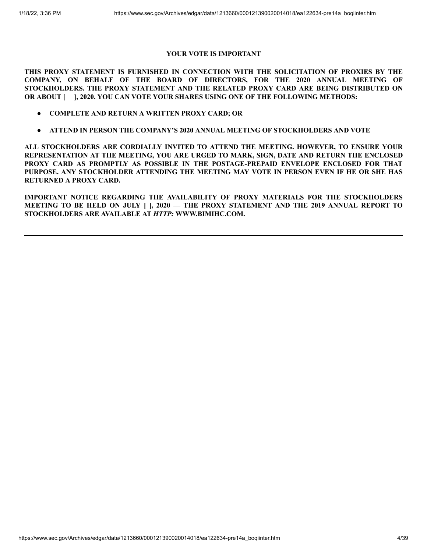# **YOUR VOTE IS IMPORTANT**

**THIS PROXY STATEMENT IS FURNISHED IN CONNECTION WITH THE SOLICITATION OF PROXIES BY THE COMPANY, ON BEHALF OF THE BOARD OF DIRECTORS, FOR THE 2020 ANNUAL MEETING OF STOCKHOLDERS. THE PROXY STATEMENT AND THE RELATED PROXY CARD ARE BEING DISTRIBUTED ON OR ABOUT [ ], 2020. YOU CAN VOTE YOUR SHARES USING ONE OF THE FOLLOWING METHODS:**

- **● COMPLETE AND RETURN A WRITTEN PROXY CARD; OR**
- **ATTEND IN PERSON THE COMPANY'S 2020 ANNUAL MEETING OF STOCKHOLDERS AND VOTE**

**ALL STOCKHOLDERS ARE CORDIALLY INVITED TO ATTEND THE MEETING. HOWEVER, TO ENSURE YOUR REPRESENTATION AT THE MEETING, YOU ARE URGED TO MARK, SIGN, DATE AND RETURN THE ENCLOSED PROXY CARD AS PROMPTLY AS POSSIBLE IN THE POSTAGE-PREPAID ENVELOPE ENCLOSED FOR THAT PURPOSE. ANY STOCKHOLDER ATTENDING THE MEETING MAY VOTE IN PERSON EVEN IF HE OR SHE HAS RETURNED A PROXY CARD.**

**IMPORTANT NOTICE REGARDING THE AVAILABILITY OF PROXY MATERIALS FOR THE STOCKHOLDERS MEETING TO BE HELD ON JULY [ ], 2020 — THE PROXY STATEMENT AND THE 2019 ANNUAL REPORT TO STOCKHOLDERS ARE AVAILABLE AT** *HTTP:* **WWW.BIMIHC.COM.**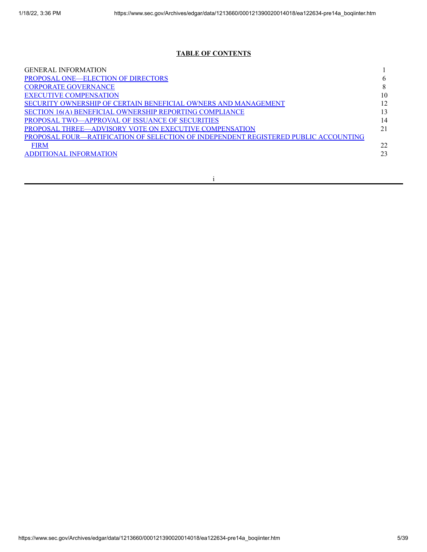# **TABLE OF CONTENTS**

| <b>GENERAL INFORMATION</b>                                                          |    |
|-------------------------------------------------------------------------------------|----|
| <b>PROPOSAL ONE—ELECTION OF DIRECTORS</b>                                           |    |
| <b>CORPORATE GOVERNANCE</b>                                                         |    |
| <b>EXECUTIVE COMPENSATION</b>                                                       | 10 |
| SECURITY OWNERSHIP OF CERTAIN BENEFICIAL OWNERS AND MANAGEMENT                      |    |
| SECTION 16(A) BENEFICIAL OWNERSHIP REPORTING COMPLIANCE                             |    |
| <b>PROPOSAL TWO—APPROVAL OF ISSUANCE OF SECURITIES</b>                              | 14 |
| PROPOSAL THREE—ADVISORY VOTE ON EXECUTIVE COMPENSATION                              |    |
| PROPOSAL FOUR—RATIFICATION OF SELECTION OF INDEPENDENT REGISTERED PUBLIC ACCOUNTING |    |
| <b>FIRM</b>                                                                         | 22 |
| <b>ADDITIONAL INFORMATION</b>                                                       | 23 |
|                                                                                     |    |

i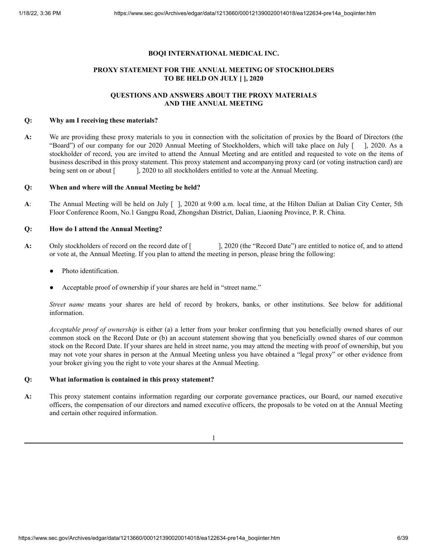## **BOQI INTERNATIONAL MEDICAL INC.**

# **PROXY STATEMENT FOR THE ANNUAL MEETING OF STOCKHOLDERS TO BE HELD ON JULY [ ], 2020**

# **QUESTIONS AND ANSWERS ABOUT THE PROXY MATERIALS AND THE ANNUAL MEETING**

#### **Q: Why am I receiving these materials?**

**A:** We are providing these proxy materials to you in connection with the solicitation of proxies by the Board of Directors (the "Board") of our company for our 2020 Annual Meeting of Stockholders, which will take place on July [ ], 2020. As a stockholder of record, you are invited to attend the Annual Meeting and are entitled and requested to vote on the items of business described in this proxy statement. This proxy statement and accompanying proxy card (or voting instruction card) are being sent on or about [ ], 2020 to all stockholders entitled to vote at the Annual Meeting.

## **Q: When and where will the Annual Meeting be held?**

**A**: The Annual Meeting will be held on July [ ], 2020 at 9:00 a.m. local time, at the Hilton Dalian at Dalian City Center, 5th Floor Conference Room, No.1 Gangpu Road, Zhongshan District, Dalian, Liaoning Province, P. R. China.

## **Q: How do I attend the Annual Meeting?**

- A: Only stockholders of record on the record date of [ ], 2020 (the "Record Date") are entitled to notice of, and to attend or vote at, the Annual Meeting. If you plan to attend the meeting in person, please bring the following:
	- Photo identification.
	- Acceptable proof of ownership if your shares are held in "street name."

*Street name* means your shares are held of record by brokers, banks, or other institutions. See below for additional information.

*Acceptable proof of ownership* is either (a) a letter from your broker confirming that you beneficially owned shares of our common stock on the Record Date or (b) an account statement showing that you beneficially owned shares of our common stock on the Record Date. If your shares are held in street name, you may attend the meeting with proof of ownership, but you may not vote your shares in person at the Annual Meeting unless you have obtained a "legal proxy" or other evidence from your broker giving you the right to vote your shares at the Annual Meeting.

## **Q: What information is contained in this proxy statement?**

**A:** This proxy statement contains information regarding our corporate governance practices, our Board, our named executive officers, the compensation of our directors and named executive officers, the proposals to be voted on at the Annual Meeting and certain other required information.

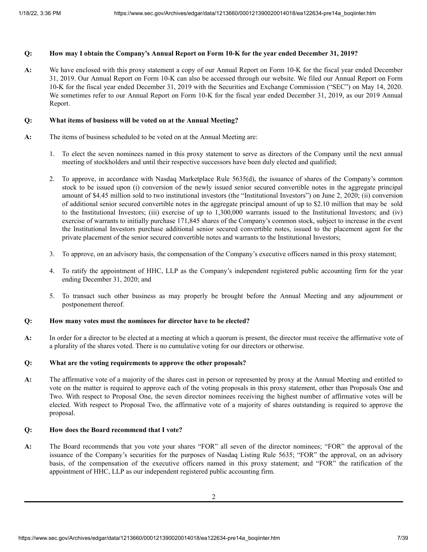# Q: How may I obtain the Company's Annual Report on Form 10-K for the year ended December 31, 2019?

**A:** We have enclosed with this proxy statement a copy of our Annual Report on Form 10-K for the fiscal year ended December 31, 2019. Our Annual Report on Form 10-K can also be accessed through our website. We filed our Annual Report on Form 10-K for the fiscal year ended December 31, 2019 with the Securities and Exchange Commission ("SEC") on May 14, 2020. We sometimes refer to our Annual Report on Form 10-K for the fiscal year ended December 31, 2019, as our 2019 Annual Report.

## **Q: What items of business will be voted on at the Annual Meeting?**

- **A:** The items of business scheduled to be voted on at the Annual Meeting are:
	- 1. To elect the seven nominees named in this proxy statement to serve as directors of the Company until the next annual meeting of stockholders and until their respective successors have been duly elected and qualified;
	- 2. To approve, in accordance with Nasdaq Marketplace Rule 5635(d), the issuance of shares of the Company's common stock to be issued upon (i) conversion of the newly issued senior secured convertible notes in the aggregate principal amount of \$4.45 million sold to two institutional investors (the "Institutional Investors") on June 2, 2020; (ii) conversion of additional senior secured convertible notes in the aggregate principal amount of up to \$2.10 million that may be sold to the Institutional Investors; (iii) exercise of up to 1,300,000 warrants issued to the Institutional Investors; and (iv) exercise of warrants to initially purchase 171,845 shares of the Company's common stock, subject to increase in the event the Institutional Investors purchase additional senior secured convertible notes, issued to the placement agent for the private placement of the senior secured convertible notes and warrants to the Institutional Investors;
	- 3. To approve, on an advisory basis, the compensation of the Company's executive officers named in this proxy statement;
	- 4. To ratify the appointment of HHC, LLP as the Company's independent registered public accounting firm for the year ending December 31, 2020; and
	- 5. To transact such other business as may properly be brought before the Annual Meeting and any adjournment or postponement thereof.

## **Q: How many votes must the nominees for director have to be elected?**

**A:** In order for a director to be elected at a meeting at which a quorum is present, the director must receive the affirmative vote of a plurality of the shares voted. There is no cumulative voting for our directors or otherwise.

#### **Q: What are the voting requirements to approve the other proposals?**

**A:** The affirmative vote of a majority of the shares cast in person or represented by proxy at the Annual Meeting and entitled to vote on the matter is required to approve each of the voting proposals in this proxy statement, other than Proposals One and Two. With respect to Proposal One, the seven director nominees receiving the highest number of affirmative votes will be elected. With respect to Proposal Two, the affirmative vote of a majority of shares outstanding is required to approve the proposal.

## **Q: How does the Board recommend that I vote?**

**A:** The Board recommends that you vote your shares "FOR" all seven of the director nominees; "FOR" the approval of the issuance of the Company's securities for the purposes of Nasdaq Listing Rule 5635; "FOR" the approval, on an advisory basis, of the compensation of the executive officers named in this proxy statement; and "FOR" the ratification of the appointment of HHC, LLP as our independent registered public accounting firm.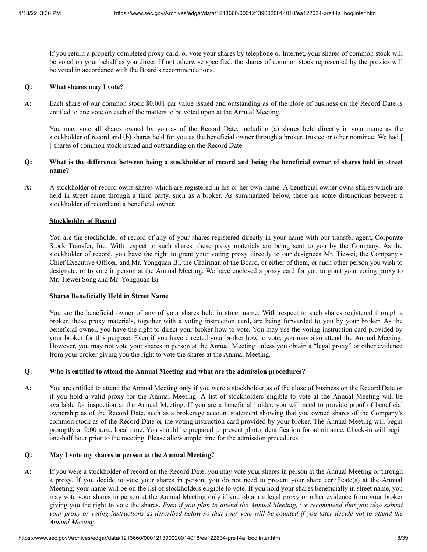If you return a properly completed proxy card, or vote your shares by telephone or Internet, your shares of common stock will be voted on your behalf as you direct. If not otherwise specified, the shares of common stock represented by the proxies will be voted in accordance with the Board's recommendations.

#### **Q: What shares may I vote?**

**A:** Each share of our common stock \$0.001 par value issued and outstanding as of the close of business on the Record Date is entitled to one vote on each of the matters to be voted upon at the Annual Meeting.

You may vote all shares owned by you as of the Record Date, including (a) shares held directly in your name as the stockholder of record and (b) shares held for you as the beneficial owner through a broker, trustee or other nominee. We had [ ] shares of common stock issued and outstanding on the Record Date.

## Q: What is the difference between being a stockholder of record and being the beneficial owner of shares held in street **name?**

**A:** A stockholder of record owns shares which are registered in his or her own name. A beneficial owner owns shares which are held in street name through a third party, such as a broker. As summarized below, there are some distinctions between a stockholder of record and a beneficial owner.

#### **Stockholder of Record**

You are the stockholder of record of any of your shares registered directly in your name with our transfer agent, Corporate Stock Transfer, Inc. With respect to such shares, these proxy materials are being sent to you by the Company. As the stockholder of record, you have the right to grant your voting proxy directly to our designees Mr. Tiewei, the Company's Chief Executive Officer, and Mr. Yongquan Bi, the Chairman of the Board, or either of them, or such other person you wish to designate, or to vote in person at the Annual Meeting. We have enclosed a proxy card for you to grant your voting proxy to Mr. Tiewei Song and Mr. Yongquan Bi.

#### **Shares Beneficially Held in Street Name**

You are the beneficial owner of any of your shares held in street name. With respect to such shares registered through a broker, these proxy materials, together with a voting instruction card, are being forwarded to you by your broker. As the beneficial owner, you have the right to direct your broker how to vote. You may use the voting instruction card provided by your broker for this purpose. Even if you have directed your broker how to vote, you may also attend the Annual Meeting. However, you may not vote your shares in person at the Annual Meeting unless you obtain a "legal proxy" or other evidence from your broker giving you the right to vote the shares at the Annual Meeting.

#### **Q: Who is entitled to attend the Annual Meeting and what are the admission procedures?**

**A:** You are entitled to attend the Annual Meeting only if you were a stockholder as of the close of business on the Record Date or if you hold a valid proxy for the Annual Meeting. A list of stockholders eligible to vote at the Annual Meeting will be available for inspection at the Annual Meeting. If you are a beneficial holder, you will need to provide proof of beneficial ownership as of the Record Date, such as a brokerage account statement showing that you owned shares of the Company's common stock as of the Record Date or the voting instruction card provided by your broker. The Annual Meeting will begin promptly at 9:00 a.m., local time. You should be prepared to present photo identification for admittance. Check-in will begin one-half hour prior to the meeting. Please allow ample time for the admission procedures.

#### **Q: May I vote my shares in person at the Annual Meeting?**

**A:** If you were a stockholder of record on the Record Date, you may vote your shares in person at the Annual Meeting or through a proxy. If you decide to vote your shares in person, you do not need to present your share certificate(s) at the Annual Meeting; your name will be on the list of stockholders eligible to vote. If you hold your shares beneficially in street name, you may vote your shares in person at the Annual Meeting only if you obtain a legal proxy or other evidence from your broker giving you the right to vote the shares. Even if you plan to attend the Annual Meeting, we recommend that you also submit your proxy or voting instructions as described below so that your vote will be counted if you later decide not to attend the *Annual Meeting.*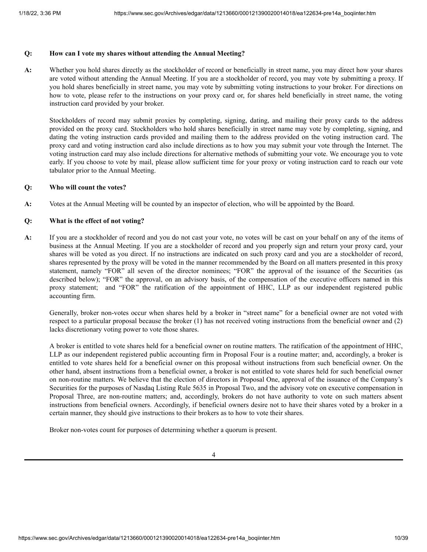## **Q: How can I vote my shares without attending the Annual Meeting?**

**A:** Whether you hold shares directly as the stockholder of record or beneficially in street name, you may direct how your shares are voted without attending the Annual Meeting. If you are a stockholder of record, you may vote by submitting a proxy. If you hold shares beneficially in street name, you may vote by submitting voting instructions to your broker. For directions on how to vote, please refer to the instructions on your proxy card or, for shares held beneficially in street name, the voting instruction card provided by your broker.

Stockholders of record may submit proxies by completing, signing, dating, and mailing their proxy cards to the address provided on the proxy card. Stockholders who hold shares beneficially in street name may vote by completing, signing, and dating the voting instruction cards provided and mailing them to the address provided on the voting instruction card. The proxy card and voting instruction card also include directions as to how you may submit your vote through the Internet. The voting instruction card may also include directions for alternative methods of submitting your vote. We encourage you to vote early. If you choose to vote by mail, please allow sufficient time for your proxy or voting instruction card to reach our vote tabulator prior to the Annual Meeting.

#### **Q: Who will count the votes?**

**A:** Votes at the Annual Meeting will be counted by an inspector of election, who will be appointed by the Board.

## **Q: What is the effect of not voting?**

**A:** If you are a stockholder of record and you do not cast your vote, no votes will be cast on your behalf on any of the items of business at the Annual Meeting. If you are a stockholder of record and you properly sign and return your proxy card, your shares will be voted as you direct. If no instructions are indicated on such proxy card and you are a stockholder of record, shares represented by the proxy will be voted in the manner recommended by the Board on all matters presented in this proxy statement, namely "FOR" all seven of the director nominees; "FOR" the approval of the issuance of the Securities (as described below); "FOR" the approval, on an advisory basis, of the compensation of the executive officers named in this proxy statement; and "FOR" the ratification of the appointment of HHC, LLP as our independent registered public accounting firm.

Generally, broker non-votes occur when shares held by a broker in "street name" for a beneficial owner are not voted with respect to a particular proposal because the broker (1) has not received voting instructions from the beneficial owner and (2) lacks discretionary voting power to vote those shares.

A broker is entitled to vote shares held for a beneficial owner on routine matters. The ratification of the appointment of HHC, LLP as our independent registered public accounting firm in Proposal Four is a routine matter; and, accordingly, a broker is entitled to vote shares held for a beneficial owner on this proposal without instructions from such beneficial owner. On the other hand, absent instructions from a beneficial owner, a broker is not entitled to vote shares held for such beneficial owner on non-routine matters. We believe that the election of directors in Proposal One, approval of the issuance of the Company's Securities for the purposes of Nasdaq Listing Rule 5635 in Proposal Two, and the advisory vote on executive compensation in Proposal Three, are non-routine matters; and, accordingly, brokers do not have authority to vote on such matters absent instructions from beneficial owners. Accordingly, if beneficial owners desire not to have their shares voted by a broker in a certain manner, they should give instructions to their brokers as to how to vote their shares.

Broker non-votes count for purposes of determining whether a quorum is present.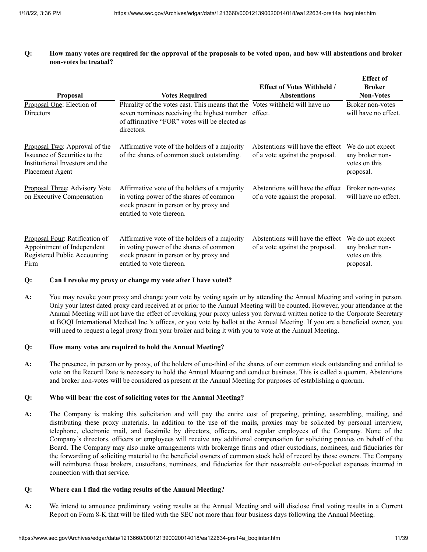Q: How many votes are required for the approval of the proposals to be voted upon, and how will abstentions and broker **non-votes be treated?**

| <b>Proposal</b>                                                                                                      | <b>Votes Required</b>                                                                                                                                                                              | <b>Effect of Votes Withheld /</b><br><b>Abstentions</b>             | <b>Effect</b> of<br><b>Broker</b><br><b>Non-Votes</b>             |
|----------------------------------------------------------------------------------------------------------------------|----------------------------------------------------------------------------------------------------------------------------------------------------------------------------------------------------|---------------------------------------------------------------------|-------------------------------------------------------------------|
| Proposal One: Election of<br><b>Directors</b>                                                                        | Plurality of the votes cast. This means that the Votes withheld will have no<br>seven nominees receiving the highest number effect.<br>of affirmative "FOR" votes will be elected as<br>directors. |                                                                     | Broker non-votes<br>will have no effect.                          |
| Proposal Two: Approval of the<br>Issuance of Securities to the<br>Institutional Investors and the<br>Placement Agent | Affirmative vote of the holders of a majority<br>of the shares of common stock outstanding.                                                                                                        | Abstentions will have the effect<br>of a vote against the proposal. | We do not expect<br>any broker non-<br>votes on this<br>proposal. |
| Proposal Three: Advisory Vote<br>on Executive Compensation                                                           | Affirmative vote of the holders of a majority<br>in voting power of the shares of common<br>stock present in person or by proxy and<br>entitled to vote thereon.                                   | Abstentions will have the effect<br>of a vote against the proposal. | Broker non-votes<br>will have no effect.                          |
| Proposal Four: Ratification of<br>Appointment of Independent<br>Registered Public Accounting<br>Firm                 | Affirmative vote of the holders of a majority<br>in voting power of the shares of common<br>stock present in person or by proxy and<br>entitled to vote thereon.                                   | Abstentions will have the effect<br>of a vote against the proposal. | We do not expect<br>any broker non-<br>votes on this<br>proposal. |

#### **Q: Can I revoke my proxy or change my vote after I have voted?**

**A:** You may revoke your proxy and change your vote by voting again or by attending the Annual Meeting and voting in person. Only your latest dated proxy card received at or prior to the Annual Meeting will be counted. However, your attendance at the Annual Meeting will not have the effect of revoking your proxy unless you forward written notice to the Corporate Secretary at BOQI International Medical Inc.'s offices, or you vote by ballot at the Annual Meeting. If you are a beneficial owner, you will need to request a legal proxy from your broker and bring it with you to vote at the Annual Meeting.

## **Q: How many votes are required to hold the Annual Meeting?**

**A:** The presence, in person or by proxy, of the holders of one-third of the shares of our common stock outstanding and entitled to vote on the Record Date is necessary to hold the Annual Meeting and conduct business. This is called a quorum. Abstentions and broker non-votes will be considered as present at the Annual Meeting for purposes of establishing a quorum.

#### **Q: Who will bear the cost of soliciting votes for the Annual Meeting?**

**A:** The Company is making this solicitation and will pay the entire cost of preparing, printing, assembling, mailing, and distributing these proxy materials. In addition to the use of the mails, proxies may be solicited by personal interview, telephone, electronic mail, and facsimile by directors, officers, and regular employees of the Company. None of the Company's directors, officers or employees will receive any additional compensation for soliciting proxies on behalf of the Board. The Company may also make arrangements with brokerage firms and other custodians, nominees, and fiduciaries for the forwarding of soliciting material to the beneficial owners of common stock held of record by those owners. The Company will reimburse those brokers, custodians, nominees, and fiduciaries for their reasonable out-of-pocket expenses incurred in connection with that service.

#### **Q: Where can I find the voting results of the Annual Meeting?**

**A:** We intend to announce preliminary voting results at the Annual Meeting and will disclose final voting results in a Current Report on Form 8-K that will be filed with the SEC not more than four business days following the Annual Meeting.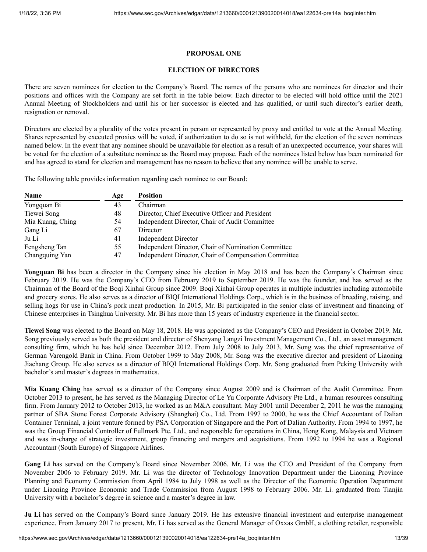## **PROPOSAL ONE**

## **ELECTION OF DIRECTORS**

<span id="page-12-0"></span>There are seven nominees for election to the Company's Board. The names of the persons who are nominees for director and their positions and offices with the Company are set forth in the table below. Each director to be elected will hold office until the 2021 Annual Meeting of Stockholders and until his or her successor is elected and has qualified, or until such director's earlier death, resignation or removal.

Directors are elected by a plurality of the votes present in person or represented by proxy and entitled to vote at the Annual Meeting. Shares represented by executed proxies will be voted, if authorization to do so is not withheld, for the election of the seven nominees named below. In the event that any nominee should be unavailable for election as a result of an unexpected occurrence, your shares will be voted for the election of a substitute nominee as the Board may propose. Each of the nominees listed below has been nominated for and has agreed to stand for election and management has no reason to believe that any nominee will be unable to serve.

The following table provides information regarding each nominee to our Board:

| <b>Name</b>      | Age | <b>Position</b>                                       |
|------------------|-----|-------------------------------------------------------|
| Yongquan Bi      | 43  | Chairman                                              |
| Tiewei Song      | 48  | Director, Chief Executive Officer and President       |
| Mia Kuang, Ching | 54  | Independent Director, Chair of Audit Committee        |
| Gang Li          | 67  | Director                                              |
| Ju Li            | 41  | <b>Independent Director</b>                           |
| Fengsheng Tan    | 55  | Independent Director, Chair of Nomination Committee   |
| Changquing Yan   | 47  | Independent Director, Chair of Compensation Committee |

**Yongquan Bi** has been a director in the Company since his election in May 2018 and has been the Company's Chairman since February 2019. He was the Company's CEO from February 2019 to September 2019. He was the founder, and has served as the Chairman of the Board of the Boqi Xinhai Group since 2009. Boqi Xinhai Group operates in multiple industries including automobile and grocery stores. He also serves as a director of BIQI International Holdings Corp., which is in the business of breeding, raising, and selling hogs for use in China's pork meat production. In 2015, Mr. Bi participated in the senior class of investment and financing of Chinese enterprises in Tsinghua University. Mr. Bi has more than 15 years of industry experience in the financial sector.

**Tiewei Song** was elected to the Board on May 18, 2018. He was appointed as the Company's CEO and President in October 2019. Mr. Song previously served as both the president and director of Shenyang Langzi Investment Management Co., Ltd., an asset management consulting firm, which he has held since December 2012. From July 2008 to July 2013, Mr. Song was the chief representative of German Varengold Bank in China. From October 1999 to May 2008, Mr. Song was the executive director and president of Liaoning Jiachang Group. He also serves as a director of BIQI International Holdings Corp. Mr. Song graduated from Peking University with bachelor's and master's degrees in mathematics.

**Mia Kuang Ching** has served as a director of the Company since August 2009 and is Chairman of the Audit Committee. From October 2013 to present, he has served as the Managing Director of Le Yu Corporate Advisory Pte Ltd., a human resources consulting firm. From January 2012 to October 2013, he worked as an M&A consultant. May 2001 until December 2, 2011 he was the managing partner of SBA Stone Forest Corporate Advisory (Shanghai) Co., Ltd. From 1997 to 2000, he was the Chief Accountant of Dalian Container Terminal, a joint venture formed by PSA Corporation of Singapore and the Port of Dalian Authority. From 1994 to 1997, he was the Group Financial Controller of Fullmark Pte. Ltd., and responsible for operations in China, Hong Kong, Malaysia and Vietnam and was in-charge of strategic investment, group financing and mergers and acquisitions. From 1992 to 1994 he was a Regional Accountant (South Europe) of Singapore Airlines.

**Gang Li** has served on the Company's Board since November 2006. Mr. Li was the CEO and President of the Company from November 2006 to February 2019. Mr. Li was the director of Technology Innovation Department under the Liaoning Province Planning and Economy Commission from April 1984 to July 1998 as well as the Director of the Economic Operation Department under Liaoning Province Economic and Trade Commission from August 1998 to February 2006. Mr. Li. graduated from Tianjin University with a bachelor's degree in science and a master's degree in law.

**Ju Li** has served on the Company's Board since January 2019. He has extensive financial investment and enterprise management experience. From January 2017 to present, Mr. Li has served as the General Manager of Oxxas GmbH, a clothing retailer, responsible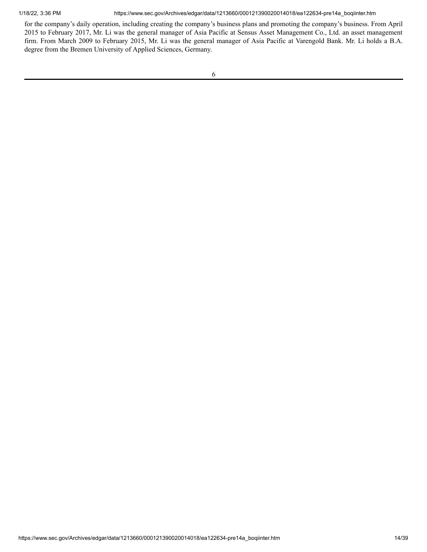1/18/22, 3:36 PM https://www.sec.gov/Archives/edgar/data/1213660/000121390020014018/ea122634-pre14a\_boqiinter.htm

for the company's daily operation, including creating the company's business plans and promoting the company's business. From April 2015 to February 2017, Mr. Li was the general manager of Asia Pacific at Sensus Asset Management Co., Ltd. an asset management firm. From March 2009 to February 2015, Mr. Li was the general manager of Asia Pacific at Varengold Bank. Mr. Li holds a B.A. degree from the Bremen University of Applied Sciences, Germany.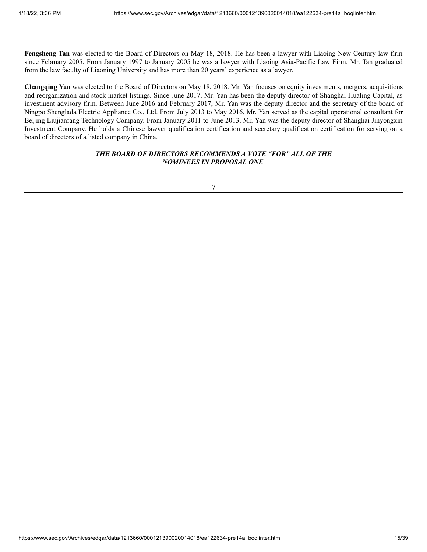**Fengsheng Tan** was elected to the Board of Directors on May 18, 2018. He has been a lawyer with Liaoing New Century law firm since February 2005. From January 1997 to January 2005 he was a lawyer with Liaoing Asia-Pacific Law Firm. Mr. Tan graduated from the law faculty of Liaoning University and has more than 20 years' experience as a lawyer.

**Changqing Yan** was elected to the Board of Directors on May 18, 2018. Mr. Yan focuses on equity investments, mergers, acquisitions and reorganization and stock market listings. Since June 2017, Mr. Yan has been the deputy director of Shanghai Hualing Capital, as investment advisory firm. Between June 2016 and February 2017, Mr. Yan was the deputy director and the secretary of the board of Ningpo Shenglada Electric Appliance Co., Ltd. From July 2013 to May 2016, Mr. Yan served as the capital operational consultant for Beijing Liujianfang Technology Company. From January 2011 to June 2013, Mr. Yan was the deputy director of Shanghai Jinyongxin Investment Company. He holds a Chinese lawyer qualification certification and secretary qualification certification for serving on a board of directors of a listed company in China.

# *THE BOARD OF DIRECTORS RECOMMENDS A VOTE "FOR" ALL OF THE NOMINEES IN PROPOSAL ONE*

7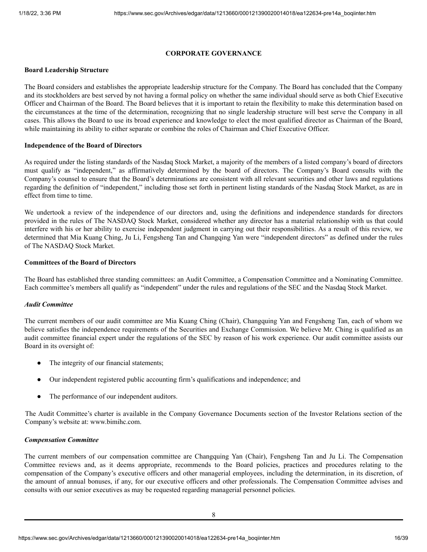## **CORPORATE GOVERNANCE**

### <span id="page-15-0"></span>**Board Leadership Structure**

The Board considers and establishes the appropriate leadership structure for the Company. The Board has concluded that the Company and its stockholders are best served by not having a formal policy on whether the same individual should serve as both Chief Executive Officer and Chairman of the Board. The Board believes that it is important to retain the flexibility to make this determination based on the circumstances at the time of the determination, recognizing that no single leadership structure will best serve the Company in all cases. This allows the Board to use its broad experience and knowledge to elect the most qualified director as Chairman of the Board, while maintaining its ability to either separate or combine the roles of Chairman and Chief Executive Officer.

## **Independence of the Board of Directors**

As required under the listing standards of the Nasdaq Stock Market, a majority of the members of a listed company's board of directors must qualify as "independent," as affirmatively determined by the board of directors. The Company's Board consults with the Company's counsel to ensure that the Board's determinations are consistent with all relevant securities and other laws and regulations regarding the definition of "independent," including those set forth in pertinent listing standards of the Nasdaq Stock Market, as are in effect from time to time.

We undertook a review of the independence of our directors and, using the definitions and independence standards for directors provided in the rules of The NASDAQ Stock Market, considered whether any director has a material relationship with us that could interfere with his or her ability to exercise independent judgment in carrying out their responsibilities. As a result of this review, we determined that Mia Kuang Ching, Ju Li, Fengsheng Tan and Changqing Yan were "independent directors" as defined under the rules of The NASDAQ Stock Market.

## **Committees of the Board of Directors**

The Board has established three standing committees: an Audit Committee, a Compensation Committee and a Nominating Committee. Each committee's members all qualify as "independent" under the rules and regulations of the SEC and the Nasdaq Stock Market.

#### *Audit Committee*

The current members of our audit committee are Mia Kuang Ching (Chair), Changquing Yan and Fengsheng Tan, each of whom we believe satisfies the independence requirements of the Securities and Exchange Commission. We believe Mr. Ching is qualified as an audit committee financial expert under the regulations of the SEC by reason of his work experience. Our audit committee assists our Board in its oversight of:

- The integrity of our financial statements;
- Our independent registered public accounting firm's qualifications and independence; and
- The performance of our independent auditors.

The Audit Committee's charter is available in the Company Governance Documents section of the Investor Relations section of the Company's website at: www.bimihc.com.

#### *Compensation Committee*

The current members of our compensation committee are Changquing Yan (Chair), Fengsheng Tan and Ju Li. The Compensation Committee reviews and, as it deems appropriate, recommends to the Board policies, practices and procedures relating to the compensation of the Company's executive officers and other managerial employees, including the determination, in its discretion, of the amount of annual bonuses, if any, for our executive officers and other professionals. The Compensation Committee advises and consults with our senior executives as may be requested regarding managerial personnel policies.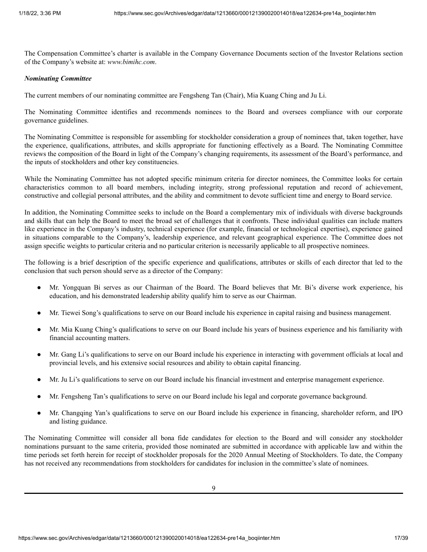The Compensation Committee's charter is available in the Company Governance Documents section of the Investor Relations section of the Company's website at: *www.bimihc.com*.

## *Nominating Committee*

The current members of our nominating committee are Fengsheng Tan (Chair), Mia Kuang Ching and Ju Li.

The Nominating Committee identifies and recommends nominees to the Board and oversees compliance with our corporate governance guidelines.

The Nominating Committee is responsible for assembling for stockholder consideration a group of nominees that, taken together, have the experience, qualifications, attributes, and skills appropriate for functioning effectively as a Board. The Nominating Committee reviews the composition of the Board in light of the Company's changing requirements, its assessment of the Board's performance, and the inputs of stockholders and other key constituencies.

While the Nominating Committee has not adopted specific minimum criteria for director nominees, the Committee looks for certain characteristics common to all board members, including integrity, strong professional reputation and record of achievement, constructive and collegial personal attributes, and the ability and commitment to devote sufficient time and energy to Board service.

In addition, the Nominating Committee seeks to include on the Board a complementary mix of individuals with diverse backgrounds and skills that can help the Board to meet the broad set of challenges that it confronts. These individual qualities can include matters like experience in the Company's industry, technical experience (for example, financial or technological expertise), experience gained in situations comparable to the Company's, leadership experience, and relevant geographical experience. The Committee does not assign specific weights to particular criteria and no particular criterion is necessarily applicable to all prospective nominees.

The following is a brief description of the specific experience and qualifications, attributes or skills of each director that led to the conclusion that such person should serve as a director of the Company:

- Mr. Yongquan Bi serves as our Chairman of the Board. The Board believes that Mr. Bi's diverse work experience, his education, and his demonstrated leadership ability qualify him to serve as our Chairman.
- Mr. Tiewei Song's qualifications to serve on our Board include his experience in capital raising and business management.
- Mr. Mia Kuang Ching's qualifications to serve on our Board include his years of business experience and his familiarity with financial accounting matters.
- Mr. Gang Li's qualifications to serve on our Board include his experience in interacting with government officials at local and provincial levels, and his extensive social resources and ability to obtain capital financing.
- Mr. Ju Li's qualifications to serve on our Board include his financial investment and enterprise management experience.
- Mr. Fengsheng Tan's qualifications to serve on our Board include his legal and corporate governance background.
- Mr. Changqing Yan's qualifications to serve on our Board include his experience in financing, shareholder reform, and IPO and listing guidance.

The Nominating Committee will consider all bona fide candidates for election to the Board and will consider any stockholder nominations pursuant to the same criteria, provided those nominated are submitted in accordance with applicable law and within the time periods set forth herein for receipt of stockholder proposals for the 2020 Annual Meeting of Stockholders. To date, the Company has not received any recommendations from stockholders for candidates for inclusion in the committee's slate of nominees.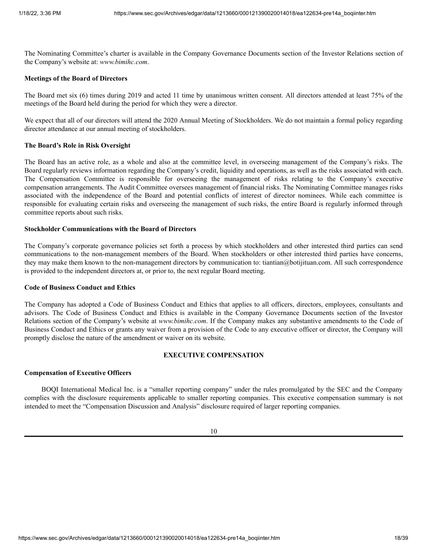The Nominating Committee's charter is available in the Company Governance Documents section of the Investor Relations section of the Company's website at: *www.bimihc.com*.

#### **Meetings of the Board of Directors**

The Board met six (6) times during 2019 and acted 11 time by unanimous written consent. All directors attended at least 75% of the meetings of the Board held during the period for which they were a director.

We expect that all of our directors will attend the 2020 Annual Meeting of Stockholders. We do not maintain a formal policy regarding director attendance at our annual meeting of stockholders.

#### **The Board's Role in Risk Oversight**

The Board has an active role, as a whole and also at the committee level, in overseeing management of the Company's risks. The Board regularly reviews information regarding the Company's credit, liquidity and operations, as well as the risks associated with each. The Compensation Committee is responsible for overseeing the management of risks relating to the Company's executive compensation arrangements. The Audit Committee oversees management of financial risks. The Nominating Committee manages risks associated with the independence of the Board and potential conflicts of interest of director nominees. While each committee is responsible for evaluating certain risks and overseeing the management of such risks, the entire Board is regularly informed through committee reports about such risks.

## **Stockholder Communications with the Board of Directors**

The Company's corporate governance policies set forth a process by which stockholders and other interested third parties can send communications to the non-management members of the Board. When stockholders or other interested third parties have concerns, they may make them known to the non-management directors by communication to: tiantian@botijituan.com. All such correspondence is provided to the independent directors at, or prior to, the next regular Board meeting.

#### **Code of Business Conduct and Ethics**

The Company has adopted a Code of Business Conduct and Ethics that applies to all officers, directors, employees, consultants and advisors. The Code of Business Conduct and Ethics is available in the Company Governance Documents section of the Investor Relations section of the Company's website at *www.bimihc.com*. If the Company makes any substantive amendments to the Code of Business Conduct and Ethics or grants any waiver from a provision of the Code to any executive officer or director, the Company will promptly disclose the nature of the amendment or waiver on its website.

#### **EXECUTIVE COMPENSATION**

#### <span id="page-17-0"></span>**Compensation of Executive Officers**

BOQI International Medical Inc. is a "smaller reporting company" under the rules promulgated by the SEC and the Company complies with the disclosure requirements applicable to smaller reporting companies. This executive compensation summary is not intended to meet the "Compensation Discussion and Analysis" disclosure required of larger reporting companies.

10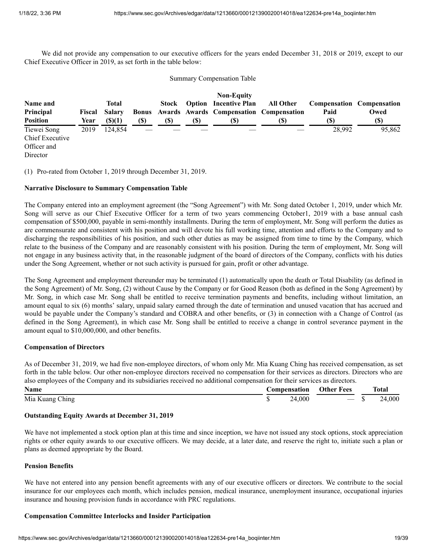We did not provide any compensation to our executive officers for the years ended December 31, 2018 or 2019, except to our Chief Executive Officer in 2019, as set forth in the table below:

## Summary Compensation Table

|                                                           |               |               |              |       |     | <b>Non-Equity</b>                       |           |        |                                  |
|-----------------------------------------------------------|---------------|---------------|--------------|-------|-----|-----------------------------------------|-----------|--------|----------------------------------|
| Name and                                                  |               | Total         |              | Stock |     | <b>Option</b> Incentive Plan            | All Other |        | <b>Compensation Compensation</b> |
| Principal                                                 | <b>Fiscal</b> | Salarv        | <b>Bonus</b> |       |     | Awards Awards Compensation Compensation |           | Paid   | Owed                             |
| <b>Position</b>                                           | Year          | $($ \$ $)(1)$ | (S)          | (S)   | (S) | (S)                                     | (S)       | (S)    | $\left( \mathbb{S}\right)$       |
| Tiewei Song<br>Chief Executive<br>Officer and<br>Director | 2019          | 124,854       | __           |       |     |                                         | __        | 28,992 | 95,862                           |

(1) Pro-rated from October 1, 2019 through December 31, 2019.

## **Narrative Disclosure to Summary Compensation Table**

The Company entered into an employment agreement (the "Song Agreement") with Mr. Song dated October 1, 2019, under which Mr. Song will serve as our Chief Executive Officer for a term of two years commencing October1, 2019 with a base annual cash compensation of \$500,000, payable in semi-monthly installments. During the term of employment, Mr. Song will perform the duties as are commensurate and consistent with his position and will devote his full working time, attention and efforts to the Company and to discharging the responsibilities of his position, and such other duties as may be assigned from time to time by the Company, which relate to the business of the Company and are reasonably consistent with his position. During the term of employment, Mr. Song will not engage in any business activity that, in the reasonable judgment of the board of directors of the Company, conflicts with his duties under the Song Agreement, whether or not such activity is pursued for gain, profit or other advantage.

The Song Agreement and employment thereunder may be terminated (1) automatically upon the death or Total Disability (as defined in the Song Agreement) of Mr. Song, (2) without Cause by the Company or for Good Reason (both as defined in the Song Agreement) by Mr. Song, in which case Mr. Song shall be entitled to receive termination payments and benefits, including without limitation, an amount equal to six (6) months' salary, unpaid salary earned through the date of termination and unused vacation that has accrued and would be payable under the Company's standard and COBRA and other benefits, or (3) in connection with a Change of Control (as defined in the Song Agreement), in which case Mr. Song shall be entitled to receive a change in control severance payment in the amount equal to \$10,000,000, and other benefits.

# **Compensation of Directors**

As of December 31, 2019, we had five non-employee directors, of whom only Mr. Mia Kuang Ching has received compensation, as set forth in the table below. Our other non-employee directors received no compensation for their services as directors. Directors who are also employees of the Company and its subsidiaries received no additional compensation for their services as directors.

| Name            | <b>Compensation</b> | <b>Other Fees</b>        | <b>Total</b> |
|-----------------|---------------------|--------------------------|--------------|
| Mia Kuang Ching | 24,000              | $\overline{\phantom{a}}$ | 24,000       |

# **Outstanding Equity Awards at December 31, 2019**

We have not implemented a stock option plan at this time and since inception, we have not issued any stock options, stock appreciation rights or other equity awards to our executive officers. We may decide, at a later date, and reserve the right to, initiate such a plan or plans as deemed appropriate by the Board.

#### **Pension Benefits**

We have not entered into any pension benefit agreements with any of our executive officers or directors. We contribute to the social insurance for our employees each month, which includes pension, medical insurance, unemployment insurance, occupational injuries insurance and housing provision funds in accordance with PRC regulations.

# **Compensation Committee Interlocks and Insider Participation**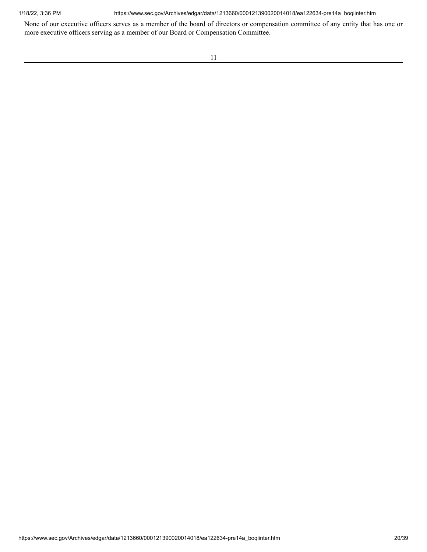1/18/22, 3:36 PM https://www.sec.gov/Archives/edgar/data/1213660/000121390020014018/ea122634-pre14a\_boqiinter.htm

None of our executive officers serves as a member of the board of directors or compensation committee of any entity that has one or more executive officers serving as a member of our Board or Compensation Committee.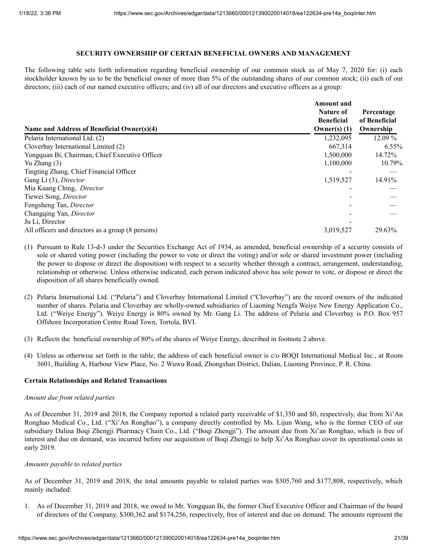## **SECURITY OWNERSHIP OF CERTAIN BENEFICIAL OWNERS AND MANAGEMENT**

<span id="page-20-0"></span>The following table sets forth information regarding beneficial ownership of our common stock as of May 7, 2020 for: (i) each stockholder known by us to be the beneficial owner of more than 5% of the outstanding shares of our common stock; (ii) each of our directors; (iii) each of our named executive officers; and (iv) all of our directors and executive officers as a group:

|                                                   | <b>Amount</b> and<br><b>Nature of</b><br><b>Beneficial</b> | Percentage<br>of Beneficial |
|---------------------------------------------------|------------------------------------------------------------|-----------------------------|
| Name and Address of Beneficial Owner(s)(4)        | Owner(s) $(1)$                                             | Ownership                   |
| Pelaria International Ltd. (2)                    | 1,232,095                                                  | 12.09 %                     |
| Cloverbay International Limited (2)               | 667,314                                                    | $6.55\%$                    |
| Yongquan Bi, Chairman, Chief Executive Officer    | 1,500,000                                                  | 14.72%                      |
| Yu Zhang $(3)$                                    | 1,100,000                                                  | 10.79%                      |
| Tingting Zhang, Chief Financial Officer           |                                                            |                             |
| Gang Li (3), Director                             | 1,519,527                                                  | 14.91%                      |
| Mia Kuang Ching, Director                         |                                                            |                             |
| Tiewei Song, Director                             |                                                            |                             |
| Fengsheng Tan, Director                           |                                                            |                             |
| Changqing Yan, Director                           |                                                            |                             |
| Ju Li, Director                                   |                                                            |                             |
| All officers and directors as a group (8 persons) | 3.019.527                                                  | 29.63%                      |

- (1) Pursuant to Rule 13-d-3 under the Securities Exchange Act of 1934, as amended, beneficial ownership of a security consists of sole or shared voting power (including the power to vote or direct the voting) and/or sole or shared investment power (including the power to dispose or direct the disposition) with respect to a security whether through a contract, arrangement, understanding, relationship or otherwise. Unless otherwise indicated, each person indicated above has sole power to vote, or dispose or direct the disposition of all shares beneficially owned.
- (2) Pelaria International Ltd. ("Pelaria") and Cloverbay International Limited ("Cloverbay") are the record owners of the indicated number of shares. Pelaria and Cloverbay are wholly-owned subsidiaries of Liaoning Nengfa Weiye New Energy Application Co., Ltd. ("Weiye Energy"). Weiye Energy is 80% owned by Mr. Gang Li. The address of Pelaria and Cloverbay is P.O. Box 957 Offshore Incorporation Centre Road Town, Tortola, BVI.
- (3) Reflects the beneficial ownership of 80% of the shares of Weiye Energy, described in footnote 2 above.
- (4) Unless as otherwise set forth in the table, the address of each beneficial owner is c/o BOQI International Medical Inc., at Room 3601, Building A, Harbour View Place, No. 2 Wuwu Road, Zhongshan District, Dalian, Liaoning Province, P. R. China.

#### **Certain Relationships and Related Transactions**

#### *Amount due from related parties*

As of December 31, 2019 and 2018, the Company reported a related party receivable of \$1,350 and \$0, respectively, due from Xi'An Ronghao Medical Co., Ltd. ("Xi'An Ronghao"), a company directly controlled by Ms. Lijun Wang, who is the former CEO of our subsidiary Dalina Boqi Zhengji Pharmacy Chain Co., Ltd. ("Boqi Zhengji"). The amount due from Xi'an Ronghao, which is free of interest and due on demand, was incurred before our acquisition of Boqi Zhengji to help Xi'An Ronghao cover its operational costs in early 2019.

#### *Amounts payable to related parties*

As of December 31, 2019 and 2018, the total amounts payable to related parties was \$305,760 and \$177,808, respectively, which mainly included:

1. As of December 31, 2019 and 2018, we owed to Mr. Yongquan Bi, the former Chief Executive Officer and Chairman of the board of directors of the Company, \$300,362 and \$174,256, respectively, free of interest and due on demand. The amounts represent the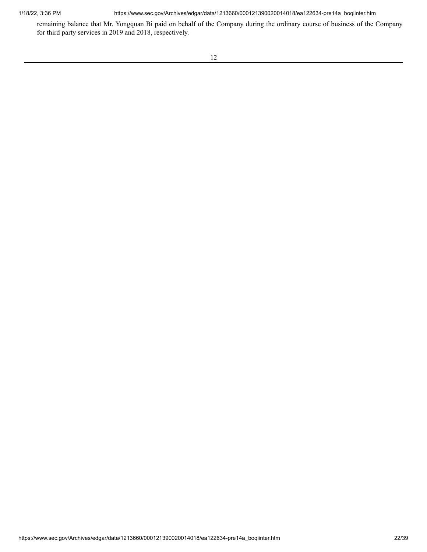1/18/22, 3:36 PM https://www.sec.gov/Archives/edgar/data/1213660/000121390020014018/ea122634-pre14a\_boqiinter.htm

remaining balance that Mr. Yongquan Bi paid on behalf of the Company during the ordinary course of business of the Company for third party services in 2019 and 2018, respectively.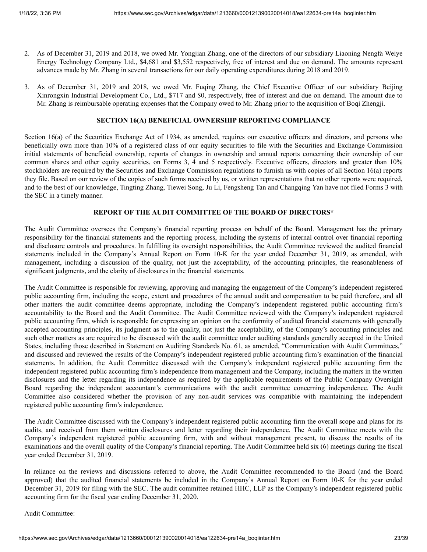- 2. As of December 31, 2019 and 2018, we owed Mr. Yongjian Zhang, one of the directors of our subsidiary Liaoning Nengfa Weiye Energy Technology Company Ltd., \$4,681 and \$3,552 respectively, free of interest and due on demand. The amounts represent advances made by Mr. Zhang in several transactions for our daily operating expenditures during 2018 and 2019.
- 3. As of December 31, 2019 and 2018, we owed Mr. Fuqing Zhang, the Chief Executive Officer of our subsidiary Beijing Xinrongxin Industrial Development Co., Ltd., \$717 and \$0, respectively, free of interest and due on demand. The amount due to Mr. Zhang is reimbursable operating expenses that the Company owed to Mr. Zhang prior to the acquisition of Boqi Zhengji.

# **SECTION 16(A) BENEFICIAL OWNERSHIP REPORTING COMPLIANCE**

<span id="page-22-0"></span>Section 16(a) of the Securities Exchange Act of 1934, as amended, requires our executive officers and directors, and persons who beneficially own more than 10% of a registered class of our equity securities to file with the Securities and Exchange Commission initial statements of beneficial ownership, reports of changes in ownership and annual reports concerning their ownership of our common shares and other equity securities, on Forms 3, 4 and 5 respectively. Executive officers, directors and greater than 10% stockholders are required by the Securities and Exchange Commission regulations to furnish us with copies of all Section 16(a) reports they file. Based on our review of the copies of such forms received by us, or written representations that no other reports were required, and to the best of our knowledge, Tingting Zhang, Tiewei Song, Ju Li, Fengsheng Tan and Changqing Yan have not filed Forms 3 with the SEC in a timely manner.

# **REPORT OF THE AUDIT COMMITTEE OF THE BOARD OF DIRECTORS\***

The Audit Committee oversees the Company's financial reporting process on behalf of the Board. Management has the primary responsibility for the financial statements and the reporting process, including the systems of internal control over financial reporting and disclosure controls and procedures. In fulfilling its oversight responsibilities, the Audit Committee reviewed the audited financial statements included in the Company's Annual Report on Form 10-K for the year ended December 31, 2019, as amended, with management, including a discussion of the quality, not just the acceptability, of the accounting principles, the reasonableness of significant judgments, and the clarity of disclosures in the financial statements.

The Audit Committee is responsible for reviewing, approving and managing the engagement of the Company's independent registered public accounting firm, including the scope, extent and procedures of the annual audit and compensation to be paid therefore, and all other matters the audit committee deems appropriate, including the Company's independent registered public accounting firm's accountability to the Board and the Audit Committee. The Audit Committee reviewed with the Company's independent registered public accounting firm, which is responsible for expressing an opinion on the conformity of audited financial statements with generally accepted accounting principles, its judgment as to the quality, not just the acceptability, of the Company's accounting principles and such other matters as are required to be discussed with the audit committee under auditing standards generally accepted in the United States, including those described in Statement on Auditing Standards No. 61, as amended, "Communication with Audit Committees," and discussed and reviewed the results of the Company's independent registered public accounting firm's examination of the financial statements. In addition, the Audit Committee discussed with the Company's independent registered public accounting firm the independent registered public accounting firm's independence from management and the Company, including the matters in the written disclosures and the letter regarding its independence as required by the applicable requirements of the Public Company Oversight Board regarding the independent accountant's communications with the audit committee concerning independence. The Audit Committee also considered whether the provision of any non-audit services was compatible with maintaining the independent registered public accounting firm's independence.

The Audit Committee discussed with the Company's independent registered public accounting firm the overall scope and plans for its audits, and received from them written disclosures and letter regarding their independence. The Audit Committee meets with the Company's independent registered public accounting firm, with and without management present, to discuss the results of its examinations and the overall quality of the Company's financial reporting. The Audit Committee held six (6) meetings during the fiscal year ended December 31, 2019.

In reliance on the reviews and discussions referred to above, the Audit Committee recommended to the Board (and the Board approved) that the audited financial statements be included in the Company's Annual Report on Form 10-K for the year ended December 31, 2019 for filing with the SEC. The audit committee retained HHC, LLP as the Company's independent registered public accounting firm for the fiscal year ending December 31, 2020.

## Audit Committee: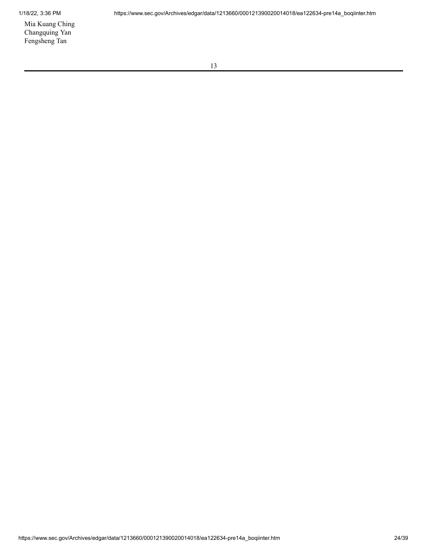Mia Kuang Ching Changquing Yan Fengsheng Tan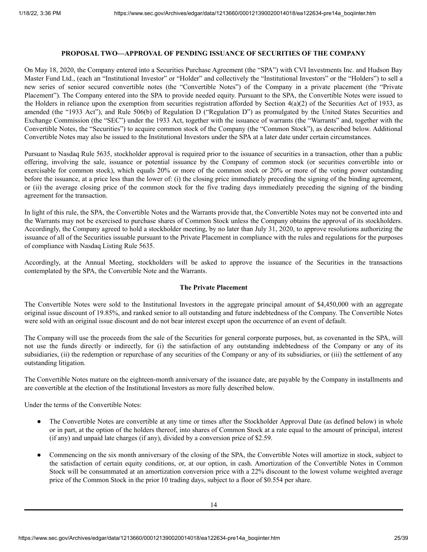# **PROPOSAL TWO—APPROVAL OF PENDING ISSUANCE OF SECURITIES OF THE COMPANY**

<span id="page-24-0"></span>On May 18, 2020, the Company entered into a Securities Purchase Agreement (the "SPA") with CVI Investments Inc. and Hudson Bay Master Fund Ltd., (each an "Institutional Investor" or "Holder" and collectively the "Institutional Investors" or the "Holders") to sell a new series of senior secured convertible notes (the "Convertible Notes") of the Company in a private placement (the "Private Placement"). The Company entered into the SPA to provide needed equity. Pursuant to the SPA, the Convertible Notes were issued to the Holders in reliance upon the exemption from securities registration afforded by Section  $4(a)(2)$  of the Securities Act of 1933, as amended (the "1933 Act"), and Rule 506(b) of Regulation D ("Regulation D") as promulgated by the United States Securities and Exchange Commission (the "SEC") under the 1933 Act, together with the issuance of warrants (the "Warrants" and, together with the Convertible Notes, the "Securities") to acquire common stock of the Company (the "Common Stock"), as described below. Additional Convertible Notes may also be issued to the Institutional Investors under the SPA at a later date under certain circumstances.

Pursuant to Nasdaq Rule 5635, stockholder approval is required prior to the issuance of securities in a transaction, other than a public offering, involving the sale, issuance or potential issuance by the Company of common stock (or securities convertible into or exercisable for common stock), which equals 20% or more of the common stock or 20% or more of the voting power outstanding before the issuance, at a price less than the lower of: (i) the closing price immediately preceding the signing of the binding agreement, or (ii) the average closing price of the common stock for the five trading days immediately preceding the signing of the binding agreement for the transaction.

In light of this rule, the SPA, the Convertible Notes and the Warrants provide that, the Convertible Notes may not be converted into and the Warrants may not be exercised to purchase shares of Common Stock unless the Company obtains the approval of its stockholders. Accordingly, the Company agreed to hold a stockholder meeting, by no later than July 31, 2020, to approve resolutions authorizing the issuance of all of the Securities issuable pursuant to the Private Placement in compliance with the rules and regulations for the purposes of compliance with Nasdaq Listing Rule 5635.

Accordingly, at the Annual Meeting, stockholders will be asked to approve the issuance of the Securities in the transactions contemplated by the SPA, the Convertible Note and the Warrants.

## **The Private Placement**

The Convertible Notes were sold to the Institutional Investors in the aggregate principal amount of \$4,450,000 with an aggregate original issue discount of 19.85%, and ranked senior to all outstanding and future indebtedness of the Company. The Convertible Notes were sold with an original issue discount and do not bear interest except upon the occurrence of an event of default.

The Company will use the proceeds from the sale of the Securities for general corporate purposes, but, as covenanted in the SPA, will not use the funds directly or indirectly, for (i) the satisfaction of any outstanding indebtedness of the Company or any of its subsidiaries, (ii) the redemption or repurchase of any securities of the Company or any of its subsidiaries, or (iii) the settlement of any outstanding litigation.

The Convertible Notes mature on the eighteen-month anniversary of the issuance date, are payable by the Company in installments and are convertible at the election of the Institutional Investors as more fully described below.

Under the terms of the Convertible Notes:

- The Convertible Notes are convertible at any time or times after the Stockholder Approval Date (as defined below) in whole or in part, at the option of the holders thereof, into shares of Common Stock at a rate equal to the amount of principal, interest (if any) and unpaid late charges (if any), divided by a conversion price of \$2.59.
- Commencing on the six month anniversary of the closing of the SPA, the Convertible Notes will amortize in stock, subject to the satisfaction of certain equity conditions, or, at our option, in cash. Amortization of the Convertible Notes in Common Stock will be consummated at an amortization conversion price with a 22% discount to the lowest volume weighted average price of the Common Stock in the prior 10 trading days, subject to a floor of \$0.554 per share.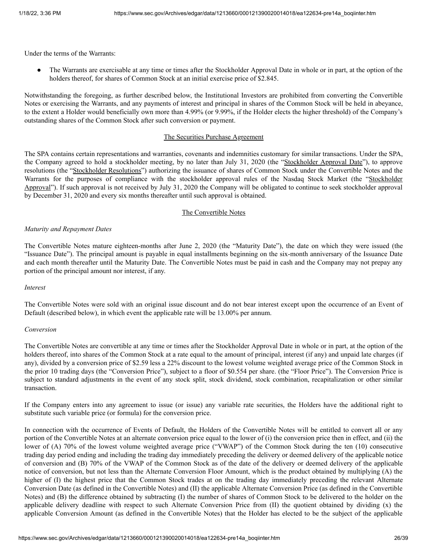Under the terms of the Warrants:

● The Warrants are exercisable at any time or times after the Stockholder Approval Date in whole or in part, at the option of the holders thereof, for shares of Common Stock at an initial exercise price of \$2.845.

Notwithstanding the foregoing, as further described below, the Institutional Investors are prohibited from converting the Convertible Notes or exercising the Warrants, and any payments of interest and principal in shares of the Common Stock will be held in abeyance, to the extent a Holder would beneficially own more than 4.99% (or 9.99%, if the Holder elects the higher threshold) of the Company's outstanding shares of the Common Stock after such conversion or payment.

## The Securities Purchase Agreement

The SPA contains certain representations and warranties, covenants and indemnities customary for similar transactions. Under the SPA, the Company agreed to hold a stockholder meeting, by no later than July 31, 2020 (the "Stockholder Approval Date"), to approve resolutions (the "Stockholder Resolutions") authorizing the issuance of shares of Common Stock under the Convertible Notes and the Warrants for the purposes of compliance with the stockholder approval rules of the Nasdaq Stock Market (the "Stockholder Approval"). If such approval is not received by July 31, 2020 the Company will be obligated to continue to seek stockholder approval by December 31, 2020 and every six months thereafter until such approval is obtained.

## The Convertible Notes

## *Maturity and Repayment Dates*

The Convertible Notes mature eighteen-months after June 2, 2020 (the "Maturity Date"), the date on which they were issued (the "Issuance Date"). The principal amount is payable in equal installments beginning on the six-month anniversary of the Issuance Date and each month thereafter until the Maturity Date. The Convertible Notes must be paid in cash and the Company may not prepay any portion of the principal amount nor interest, if any.

#### *Interest*

The Convertible Notes were sold with an original issue discount and do not bear interest except upon the occurrence of an Event of Default (described below), in which event the applicable rate will be 13.00% per annum.

## *Conversion*

The Convertible Notes are convertible at any time or times after the Stockholder Approval Date in whole or in part, at the option of the holders thereof, into shares of the Common Stock at a rate equal to the amount of principal, interest (if any) and unpaid late charges (if any), divided by a conversion price of \$2.59 less a 22% discount to the lowest volume weighted average price of the Common Stock in the prior 10 trading days (the "Conversion Price"), subject to a floor of \$0.554 per share. (the "Floor Price"). The Conversion Price is subject to standard adjustments in the event of any stock split, stock dividend, stock combination, recapitalization or other similar transaction.

If the Company enters into any agreement to issue (or issue) any variable rate securities, the Holders have the additional right to substitute such variable price (or formula) for the conversion price.

In connection with the occurrence of Events of Default, the Holders of the Convertible Notes will be entitled to convert all or any portion of the Convertible Notes at an alternate conversion price equal to the lower of (i) the conversion price then in effect, and (ii) the lower of (A) 70% of the lowest volume weighted average price ("VWAP") of the Common Stock during the ten (10) consecutive trading day period ending and including the trading day immediately preceding the delivery or deemed delivery of the applicable notice of conversion and (B) 70% of the VWAP of the Common Stock as of the date of the delivery or deemed delivery of the applicable notice of conversion, but not less than the Alternate Conversion Floor Amount, which is the product obtained by multiplying (A) the higher of (I) the highest price that the Common Stock trades at on the trading day immediately preceding the relevant Alternate Conversion Date (as defined in the Convertible Notes) and (II) the applicable Alternate Conversion Price (as defined in the Convertible Notes) and (B) the difference obtained by subtracting (I) the number of shares of Common Stock to be delivered to the holder on the applicable delivery deadline with respect to such Alternate Conversion Price from (II) the quotient obtained by dividing (x) the applicable Conversion Amount (as defined in the Convertible Notes) that the Holder has elected to be the subject of the applicable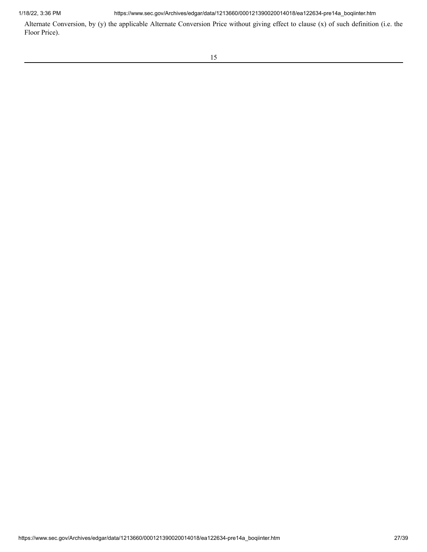1/18/22, 3:36 PM https://www.sec.gov/Archives/edgar/data/1213660/000121390020014018/ea122634-pre14a\_boqiinter.htm

Alternate Conversion, by (y) the applicable Alternate Conversion Price without giving effect to clause (x) of such definition (i.e. the Floor Price).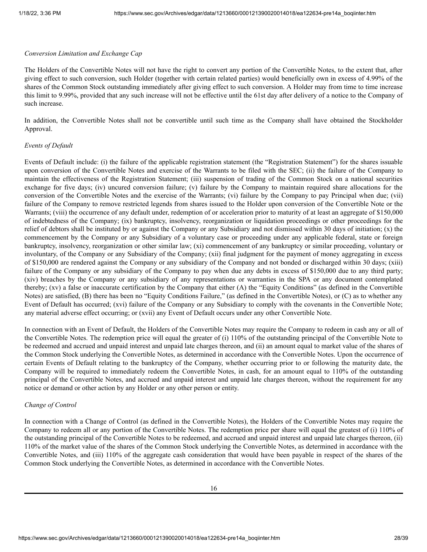#### *Conversion Limitation and Exchange Cap*

The Holders of the Convertible Notes will not have the right to convert any portion of the Convertible Notes, to the extent that, after giving effect to such conversion, such Holder (together with certain related parties) would beneficially own in excess of 4.99% of the shares of the Common Stock outstanding immediately after giving effect to such conversion. A Holder may from time to time increase this limit to 9.99%, provided that any such increase will not be effective until the 61st day after delivery of a notice to the Company of such increase.

In addition, the Convertible Notes shall not be convertible until such time as the Company shall have obtained the Stockholder Approval.

#### *Events of Default*

Events of Default include: (i) the failure of the applicable registration statement (the "Registration Statement") for the shares issuable upon conversion of the Convertible Notes and exercise of the Warrants to be filed with the SEC; (ii) the failure of the Company to maintain the effectiveness of the Registration Statement; (iii) suspension of trading of the Common Stock on a national securities exchange for five days; (iv) uncured conversion failure; (v) failure by the Company to maintain required share allocations for the conversion of the Convertible Notes and the exercise of the Warrants; (vi) failure by the Company to pay Principal when due; (vii) failure of the Company to remove restricted legends from shares issued to the Holder upon conversion of the Convertible Note or the Warrants; (viii) the occurrence of any default under, redemption of or acceleration prior to maturity of at least an aggregate of \$150,000 of indebtedness of the Company; (ix) bankruptcy, insolvency, reorganization or liquidation proceedings or other proceedings for the relief of debtors shall be instituted by or against the Company or any Subsidiary and not dismissed within 30 days of initiation; (x) the commencement by the Company or any Subsidiary of a voluntary case or proceeding under any applicable federal, state or foreign bankruptcy, insolvency, reorganization or other similar law; (xi) commencement of any bankruptcy or similar proceeding, voluntary or involuntary, of the Company or any Subsidiary of the Company; (xii) final judgment for the payment of money aggregating in excess of \$150,000 are rendered against the Company or any subsidiary of the Company and not bonded or discharged within 30 days; (xiii) failure of the Company or any subsidiary of the Company to pay when due any debts in excess of \$150,000 due to any third party; (xiv) breaches by the Company or any subsidiary of any representations or warranties in the SPA or any document contemplated thereby; (xv) a false or inaccurate certification by the Company that either (A) the "Equity Conditions" (as defined in the Convertible Notes) are satisfied, (B) there has been no "Equity Conditions Failure," (as defined in the Convertible Notes), or (C) as to whether any Event of Default has occurred; (xvi) failure of the Company or any Subsidiary to comply with the covenants in the Convertible Note; any material adverse effect occurring; or (xvii) any Event of Default occurs under any other Convertible Note.

In connection with an Event of Default, the Holders of the Convertible Notes may require the Company to redeem in cash any or all of the Convertible Notes. The redemption price will equal the greater of (i) 110% of the outstanding principal of the Convertible Note to be redeemed and accrued and unpaid interest and unpaid late charges thereon, and (ii) an amount equal to market value of the shares of the Common Stock underlying the Convertible Notes, as determined in accordance with the Convertible Notes. Upon the occurrence of certain Events of Default relating to the bankruptcy of the Company, whether occurring prior to or following the maturity date, the Company will be required to immediately redeem the Convertible Notes, in cash, for an amount equal to 110% of the outstanding principal of the Convertible Notes, and accrued and unpaid interest and unpaid late charges thereon, without the requirement for any notice or demand or other action by any Holder or any other person or entity.

## *Change of Control*

In connection with a Change of Control (as defined in the Convertible Notes), the Holders of the Convertible Notes may require the Company to redeem all or any portion of the Convertible Notes. The redemption price per share will equal the greatest of (i) 110% of the outstanding principal of the Convertible Notes to be redeemed, and accrued and unpaid interest and unpaid late charges thereon, (ii) 110% of the market value of the shares of the Common Stock underlying the Convertible Notes, as determined in accordance with the Convertible Notes, and (iii) 110% of the aggregate cash consideration that would have been payable in respect of the shares of the Common Stock underlying the Convertible Notes, as determined in accordance with the Convertible Notes.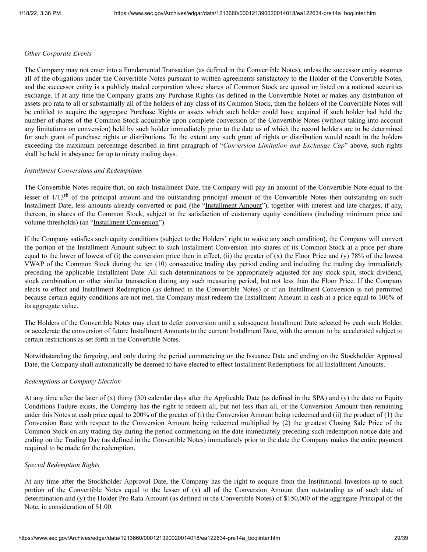#### *Other Corporate Events*

The Company may not enter into a Fundamental Transaction (as defined in the Convertible Notes), unless the successor entity assumes all of the obligations under the Convertible Notes pursuant to written agreements satisfactory to the Holder of the Convertible Notes, and the successor entity is a publicly traded corporation whose shares of Common Stock are quoted or listed on a national securities exchange. If at any time the Company grants any Purchase Rights (as defined in the Convertible Note) or makes any distribution of assets pro rata to all or substantially all of the holders of any class of its Common Stock, then the holders of the Convertible Notes will be entitled to acquire the aggregate Purchase Rights or assets which such holder could have acquired if such holder had held the number of shares of the Common Stock acquirable upon complete conversion of the Convertible Notes (without taking into account any limitations on conversion) held by such holder immediately prior to the date as of which the record holders are to be determined for such grant of purchase rights or distributions. To the extent any such grant of rights or distribution would result in the holders exceeding the maximum percentage described in first paragraph of "*Conversion Limitation and Exchange Cap*" above, such rights shall be held in abeyance for up to ninety trading days.

#### *Installment Conversions and Redemptions*

The Convertible Notes require that, on each Installment Date, the Company will pay an amount of the Convertible Note equal to the lesser of 1/13<sup>th</sup> of the principal amount and the outstanding principal amount of the Convertible Notes then outstanding on such Installment Date, less amounts already converted or paid (the "Installment Amount"), together with interest and late charges, if any, thereon, in shares of the Common Stock, subject to the satisfaction of customary equity conditions (including minimum price and volume thresholds) (an "Installment Conversion").

If the Company satisfies such equity conditions (subject to the Holders' right to waive any such condition), the Company will convert the portion of the Installment Amount subject to such Installment Conversion into shares of its Common Stock at a price per share equal to the lower of lowest of (i) the conversion price then in effect, (ii) the greater of (x) the Floor Price and (y) 78% of the lowest VWAP of the Common Stock during the ten (10) consecutive trading day period ending and including the trading day immediately preceding the applicable Installment Date. All such determinations to be appropriately adjusted for any stock split, stock dividend, stock combination or other similar transaction during any such measuring period, but not less than the Floor Price. If the Company elects to effect and Installment Redemption (as defined in the Convertible Notes) or if an Installment Conversion is not permitted because certain equity conditions are not met, the Company must redeem the Installment Amount in cash at a price equal to 106% of its aggregate value.

The Holders of the Convertible Notes may elect to defer conversion until a subsequent Installment Date selected by each such Holder, or accelerate the conversion of future Installment Amounts to the current Installment Date, with the amount to be accelerated subject to certain restrictions as set forth in the Convertible Notes.

Notwithstanding the forgoing, and only during the period commencing on the Issuance Date and ending on the Stockholder Approval Date, the Company shall automatically be deemed to have elected to effect Installment Redemptions for all Installment Amounts.

#### *Redemptions at Company Election*

At any time after the later of (x) thirty (30) calendar days after the Applicable Date (as defined in the SPA) and (y) the date no Equity Conditions Failure exists, the Company has the right to redeem all, but not less than all, of the Conversion Amount then remaining under this Notes at cash price equal to 200% of the greater of (i) the Conversion Amount being redeemed and (ii) the product of (1) the Conversion Rate with respect to the Conversion Amount being redeemed multiplied by (2) the greatest Closing Sale Price of the Common Stock on any trading day during the period commencing on the date immediately preceding such redemption notice date and ending on the Trading Day (as defined in the Convertible Notes) immediately prior to the date the Company makes the entire payment required to be made for the redemption.

#### *Special Redemption Rights*

At any time after the Stockholder Approval Date, the Company has the right to acquire from the Institutional Investors up to such portion of the Convertible Notes equal to the lesser of (x) all of the Conversion Amount then outstanding as of such date of determination and (y) the Holder Pro Rata Amount (as defined in the Convertible Notes) of \$150,000 of the aggregate Principal of the Note, in consideration of \$1.00.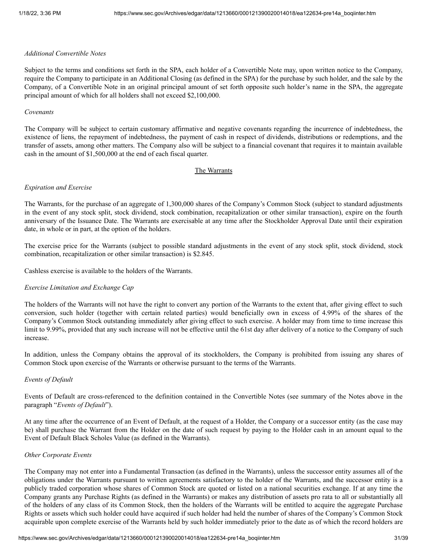## *Additional Convertible Notes*

Subject to the terms and conditions set forth in the SPA, each holder of a Convertible Note may, upon written notice to the Company, require the Company to participate in an Additional Closing (as defined in the SPA) for the purchase by such holder, and the sale by the Company, of a Convertible Note in an original principal amount of set forth opposite such holder's name in the SPA, the aggregate principal amount of which for all holders shall not exceed \$2,100,000.

#### *Covenants*

The Company will be subject to certain customary affirmative and negative covenants regarding the incurrence of indebtedness, the existence of liens, the repayment of indebtedness, the payment of cash in respect of dividends, distributions or redemptions, and the transfer of assets, among other matters. The Company also will be subject to a financial covenant that requires it to maintain available cash in the amount of \$1,500,000 at the end of each fiscal quarter.

#### The Warrants

## *Expiration and Exercise*

The Warrants, for the purchase of an aggregate of 1,300,000 shares of the Company's Common Stock (subject to standard adjustments in the event of any stock split, stock dividend, stock combination, recapitalization or other similar transaction), expire on the fourth anniversary of the Issuance Date. The Warrants are exercisable at any time after the Stockholder Approval Date until their expiration date, in whole or in part, at the option of the holders.

The exercise price for the Warrants (subject to possible standard adjustments in the event of any stock split, stock dividend, stock combination, recapitalization or other similar transaction) is \$2.845.

Cashless exercise is available to the holders of the Warrants.

#### *Exercise Limitation and Exchange Cap*

The holders of the Warrants will not have the right to convert any portion of the Warrants to the extent that, after giving effect to such conversion, such holder (together with certain related parties) would beneficially own in excess of 4.99% of the shares of the Company's Common Stock outstanding immediately after giving effect to such exercise. A holder may from time to time increase this limit to 9.99%, provided that any such increase will not be effective until the 61st day after delivery of a notice to the Company of such increase.

In addition, unless the Company obtains the approval of its stockholders, the Company is prohibited from issuing any shares of Common Stock upon exercise of the Warrants or otherwise pursuant to the terms of the Warrants.

#### *Events of Default*

Events of Default are cross-referenced to the definition contained in the Convertible Notes (see summary of the Notes above in the paragraph "*Events of Default*").

At any time after the occurrence of an Event of Default, at the request of a Holder, the Company or a successor entity (as the case may be) shall purchase the Warrant from the Holder on the date of such request by paying to the Holder cash in an amount equal to the Event of Default Black Scholes Value (as defined in the Warrants).

## *Other Corporate Events*

The Company may not enter into a Fundamental Transaction (as defined in the Warrants), unless the successor entity assumes all of the obligations under the Warrants pursuant to written agreements satisfactory to the holder of the Warrants, and the successor entity is a publicly traded corporation whose shares of Common Stock are quoted or listed on a national securities exchange. If at any time the Company grants any Purchase Rights (as defined in the Warrants) or makes any distribution of assets pro rata to all or substantially all of the holders of any class of its Common Stock, then the holders of the Warrants will be entitled to acquire the aggregate Purchase Rights or assets which such holder could have acquired if such holder had held the number of shares of the Company's Common Stock acquirable upon complete exercise of the Warrants held by such holder immediately prior to the date as of which the record holders are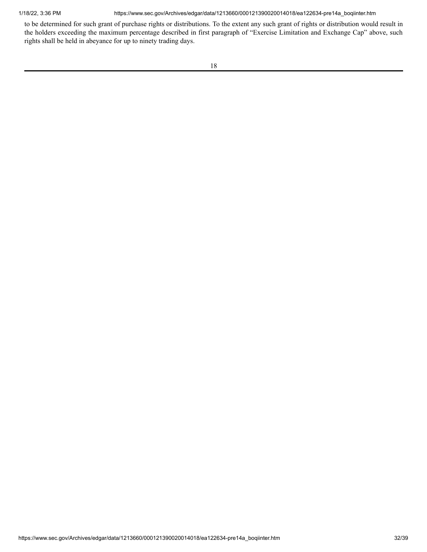1/18/22, 3:36 PM https://www.sec.gov/Archives/edgar/data/1213660/000121390020014018/ea122634-pre14a\_boqiinter.htm

to be determined for such grant of purchase rights or distributions. To the extent any such grant of rights or distribution would result in the holders exceeding the maximum percentage described in first paragraph of "Exercise Limitation and Exchange Cap" above, such rights shall be held in abeyance for up to ninety trading days.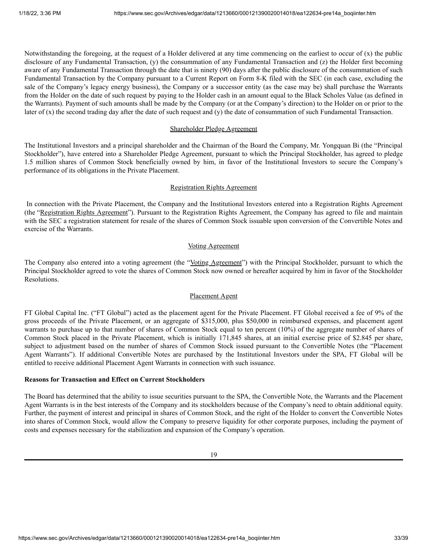Notwithstanding the foregoing, at the request of a Holder delivered at any time commencing on the earliest to occur of (x) the public disclosure of any Fundamental Transaction, (y) the consummation of any Fundamental Transaction and (z) the Holder first becoming aware of any Fundamental Transaction through the date that is ninety (90) days after the public disclosure of the consummation of such Fundamental Transaction by the Company pursuant to a Current Report on Form 8-K filed with the SEC (in each case, excluding the sale of the Company's legacy energy business), the Company or a successor entity (as the case may be) shall purchase the Warrants from the Holder on the date of such request by paying to the Holder cash in an amount equal to the Black Scholes Value (as defined in the Warrants). Payment of such amounts shall be made by the Company (or at the Company's direction) to the Holder on or prior to the later of (x) the second trading day after the date of such request and (y) the date of consummation of such Fundamental Transaction.

#### Shareholder Pledge Agreement

The Institutional Investors and a principal shareholder and the Chairman of the Board the Company, Mr. Yongquan Bi (the "Principal Stockholder"), have entered into a Shareholder Pledge Agreement, pursuant to which the Principal Stockholder, has agreed to pledge 1.5 million shares of Common Stock beneficially owned by him, in favor of the Institutional Investors to secure the Company's performance of its obligations in the Private Placement.

## Registration Rights Agreement

In connection with the Private Placement, the Company and the Institutional Investors entered into a Registration Rights Agreement (the "Registration Rights Agreement"). Pursuant to the Registration Rights Agreement, the Company has agreed to file and maintain with the SEC a registration statement for resale of the shares of Common Stock issuable upon conversion of the Convertible Notes and exercise of the Warrants.

# Voting Agreement

The Company also entered into a voting agreement (the "Voting Agreement") with the Principal Stockholder, pursuant to which the Principal Stockholder agreed to vote the shares of Common Stock now owned or hereafter acquired by him in favor of the Stockholder Resolutions.

#### Placement Agent

FT Global Capital Inc. ("FT Global") acted as the placement agent for the Private Placement. FT Global received a fee of 9% of the gross proceeds of the Private Placement, or an aggregate of \$315,000, plus \$50,000 in reimbursed expenses, and placement agent warrants to purchase up to that number of shares of Common Stock equal to ten percent (10%) of the aggregate number of shares of Common Stock placed in the Private Placement, which is initially 171,845 shares, at an initial exercise price of \$2.845 per share, subject to adjustment based on the number of shares of Common Stock issued pursuant to the Convertible Notes (the "Placement Agent Warrants"). If additional Convertible Notes are purchased by the Institutional Investors under the SPA, FT Global will be entitled to receive additional Placement Agent Warrants in connection with such issuance.

# **Reasons for Transaction and Effect on Current Stockholders**

The Board has determined that the ability to issue securities pursuant to the SPA, the Convertible Note, the Warrants and the Placement Agent Warrants is in the best interests of the Company and its stockholders because of the Company's need to obtain additional equity. Further, the payment of interest and principal in shares of Common Stock, and the right of the Holder to convert the Convertible Notes into shares of Common Stock, would allow the Company to preserve liquidity for other corporate purposes, including the payment of costs and expenses necessary for the stabilization and expansion of the Company's operation.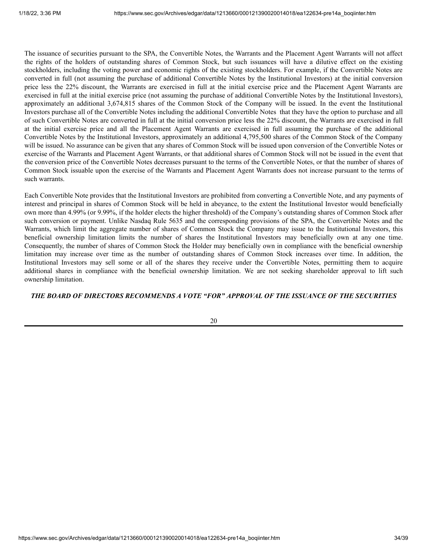The issuance of securities pursuant to the SPA, the Convertible Notes, the Warrants and the Placement Agent Warrants will not affect the rights of the holders of outstanding shares of Common Stock, but such issuances will have a dilutive effect on the existing stockholders, including the voting power and economic rights of the existing stockholders. For example, if the Convertible Notes are converted in full (not assuming the purchase of additional Convertible Notes by the Institutional Investors) at the initial conversion price less the 22% discount, the Warrants are exercised in full at the initial exercise price and the Placement Agent Warrants are exercised in full at the initial exercise price (not assuming the purchase of additional Convertible Notes by the Institutional Investors), approximately an additional 3,674,815 shares of the Common Stock of the Company will be issued. In the event the Institutional Investors purchase all of the Convertible Notes including the additional Convertible Notes that they have the option to purchase and all of such Convertible Notes are converted in full at the initial conversion price less the 22% discount, the Warrants are exercised in full at the initial exercise price and all the Placement Agent Warrants are exercised in full assuming the purchase of the additional Convertible Notes by the Institutional Investors, approximately an additional 4,795,500 shares of the Common Stock of the Company will be issued. No assurance can be given that any shares of Common Stock will be issued upon conversion of the Convertible Notes or exercise of the Warrants and Placement Agent Warrants, or that additional shares of Common Stock will not be issued in the event that the conversion price of the Convertible Notes decreases pursuant to the terms of the Convertible Notes, or that the number of shares of Common Stock issuable upon the exercise of the Warrants and Placement Agent Warrants does not increase pursuant to the terms of such warrants.

Each Convertible Note provides that the Institutional Investors are prohibited from converting a Convertible Note, and any payments of interest and principal in shares of Common Stock will be held in abeyance, to the extent the Institutional Investor would beneficially own more than 4.99% (or 9.99%, if the holder elects the higher threshold) of the Company's outstanding shares of Common Stock after such conversion or payment. Unlike Nasdaq Rule 5635 and the corresponding provisions of the SPA, the Convertible Notes and the Warrants, which limit the aggregate number of shares of Common Stock the Company may issue to the Institutional Investors, this beneficial ownership limitation limits the number of shares the Institutional Investors may beneficially own at any one time. Consequently, the number of shares of Common Stock the Holder may beneficially own in compliance with the beneficial ownership limitation may increase over time as the number of outstanding shares of Common Stock increases over time. In addition, the Institutional Investors may sell some or all of the shares they receive under the Convertible Notes, permitting them to acquire additional shares in compliance with the beneficial ownership limitation. We are not seeking shareholder approval to lift such ownership limitation.

# *THE BOARD OF DIRECTORS RECOMMENDS A VOTE "FOR" APPROVAL OF THE ISSUANCE OF THE SECURITIES*

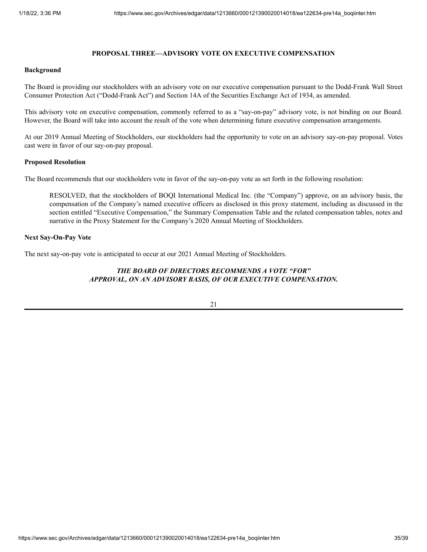## **PROPOSAL THREE—ADVISORY VOTE ON EXECUTIVE COMPENSATION**

#### <span id="page-34-0"></span>**Background**

The Board is providing our stockholders with an advisory vote on our executive compensation pursuant to the Dodd-Frank Wall Street Consumer Protection Act ("Dodd-Frank Act") and Section 14A of the Securities Exchange Act of 1934, as amended.

This advisory vote on executive compensation, commonly referred to as a "say-on-pay" advisory vote, is not binding on our Board. However, the Board will take into account the result of the vote when determining future executive compensation arrangements.

At our 2019 Annual Meeting of Stockholders, our stockholders had the opportunity to vote on an advisory say-on-pay proposal. Votes cast were in favor of our say-on-pay proposal.

#### **Proposed Resolution**

The Board recommends that our stockholders vote in favor of the say-on-pay vote as set forth in the following resolution:

RESOLVED, that the stockholders of BOQI International Medical Inc. (the "Company") approve, on an advisory basis, the compensation of the Company's named executive officers as disclosed in this proxy statement, including as discussed in the section entitled "Executive Compensation," the Summary Compensation Table and the related compensation tables, notes and narrative in the Proxy Statement for the Company's 2020 Annual Meeting of Stockholders.

## **Next Say-On-Pay Vote**

The next say-on-pay vote is anticipated to occur at our 2021 Annual Meeting of Stockholders.

# *THE BOARD OF DIRECTORS RECOMMENDS A VOTE "FOR" APPROVAL, ON AN ADVISORY BASIS, OF OUR EXECUTIVE COMPENSATION.*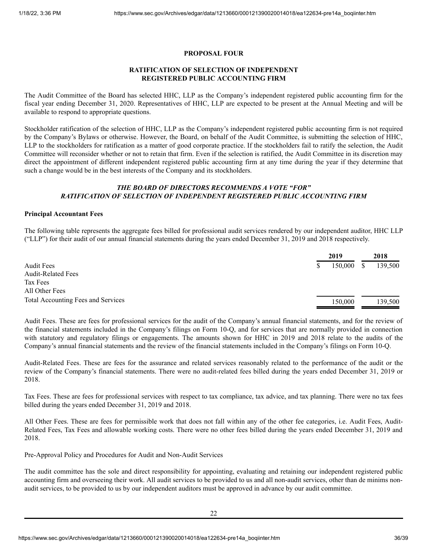## **PROPOSAL FOUR**

# **RATIFICATION OF SELECTION OF INDEPENDENT REGISTERED PUBLIC ACCOUNTING FIRM**

<span id="page-35-0"></span>The Audit Committee of the Board has selected HHC, LLP as the Company's independent registered public accounting firm for the fiscal year ending December 31, 2020. Representatives of HHC, LLP are expected to be present at the Annual Meeting and will be available to respond to appropriate questions.

Stockholder ratification of the selection of HHC, LLP as the Company's independent registered public accounting firm is not required by the Company's Bylaws or otherwise. However, the Board, on behalf of the Audit Committee, is submitting the selection of HHC, LLP to the stockholders for ratification as a matter of good corporate practice. If the stockholders fail to ratify the selection, the Audit Committee will reconsider whether or not to retain that firm. Even if the selection is ratified, the Audit Committee in its discretion may direct the appointment of different independent registered public accounting firm at any time during the year if they determine that such a change would be in the best interests of the Company and its stockholders.

# *THE BOARD OF DIRECTORS RECOMMENDS A VOTE "FOR" RATIFICATION OF SELECTION OF INDEPENDENT REGISTERED PUBLIC ACCOUNTING FIRM*

## **Principal Accountant Fees**

The following table represents the aggregate fees billed for professional audit services rendered by our independent auditor, HHC LLP ("LLP") for their audit of our annual financial statements during the years ended December 31, 2019 and 2018 respectively.

|                                    | 2019    |   | 2018    |
|------------------------------------|---------|---|---------|
| <b>Audit Fees</b>                  | 150,000 | S | 139,500 |
| <b>Audit-Related Fees</b>          |         |   |         |
| Tax Fees                           |         |   |         |
| All Other Fees                     |         |   |         |
| Total Accounting Fees and Services | 150,000 |   | 139,500 |

Audit Fees. These are fees for professional services for the audit of the Company's annual financial statements, and for the review of the financial statements included in the Company's filings on Form 10-Q, and for services that are normally provided in connection with statutory and regulatory filings or engagements. The amounts shown for HHC in 2019 and 2018 relate to the audits of the Company's annual financial statements and the review of the financial statements included in the Company's filings on Form 10-Q.

Audit-Related Fees. These are fees for the assurance and related services reasonably related to the performance of the audit or the review of the Company's financial statements. There were no audit-related fees billed during the years ended December 31, 2019 or 2018.

Tax Fees. These are fees for professional services with respect to tax compliance, tax advice, and tax planning. There were no tax fees billed during the years ended December 31, 2019 and 2018.

All Other Fees. These are fees for permissible work that does not fall within any of the other fee categories, i.e. Audit Fees, Audit-Related Fees, Tax Fees and allowable working costs. There were no other fees billed during the years ended December 31, 2019 and 2018.

Pre-Approval Policy and Procedures for Audit and Non-Audit Services

The audit committee has the sole and direct responsibility for appointing, evaluating and retaining our independent registered public accounting firm and overseeing their work. All audit services to be provided to us and all non-audit services, other than de minims nonaudit services, to be provided to us by our independent auditors must be approved in advance by our audit committee.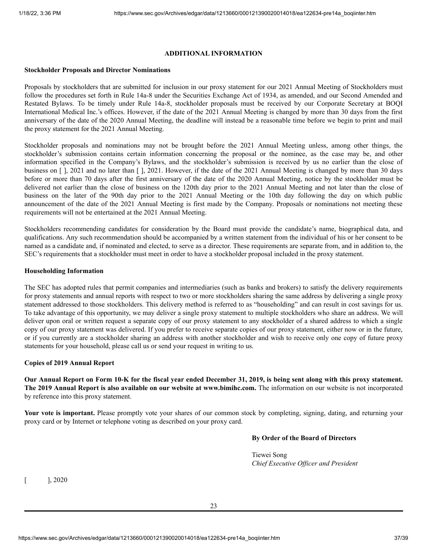## **ADDITIONAL INFORMATION**

#### <span id="page-36-0"></span>**Stockholder Proposals and Director Nominations**

Proposals by stockholders that are submitted for inclusion in our proxy statement for our 2021 Annual Meeting of Stockholders must follow the procedures set forth in Rule 14a-8 under the Securities Exchange Act of 1934, as amended, and our Second Amended and Restated Bylaws. To be timely under Rule 14a-8, stockholder proposals must be received by our Corporate Secretary at BOQI International Medical Inc.'s offices. However, if the date of the 2021 Annual Meeting is changed by more than 30 days from the first anniversary of the date of the 2020 Annual Meeting, the deadline will instead be a reasonable time before we begin to print and mail the proxy statement for the 2021 Annual Meeting.

Stockholder proposals and nominations may not be brought before the 2021 Annual Meeting unless, among other things, the stockholder's submission contains certain information concerning the proposal or the nominee, as the case may be, and other information specified in the Company's Bylaws, and the stockholder's submission is received by us no earlier than the close of business on  $\lceil$ , 2021 and no later than  $\lceil$ , 2021. However, if the date of the 2021 Annual Meeting is changed by more than 30 days before or more than 70 days after the first anniversary of the date of the 2020 Annual Meeting, notice by the stockholder must be delivered not earlier than the close of business on the 120th day prior to the 2021 Annual Meeting and not later than the close of business on the later of the 90th day prior to the 2021 Annual Meeting or the 10th day following the day on which public announcement of the date of the 2021 Annual Meeting is first made by the Company. Proposals or nominations not meeting these requirements will not be entertained at the 2021 Annual Meeting.

Stockholders recommending candidates for consideration by the Board must provide the candidate's name, biographical data, and qualifications. Any such recommendation should be accompanied by a written statement from the individual of his or her consent to be named as a candidate and, if nominated and elected, to serve as a director. These requirements are separate from, and in addition to, the SEC's requirements that a stockholder must meet in order to have a stockholder proposal included in the proxy statement.

#### **Householding Information**

The SEC has adopted rules that permit companies and intermediaries (such as banks and brokers) to satisfy the delivery requirements for proxy statements and annual reports with respect to two or more stockholders sharing the same address by delivering a single proxy statement addressed to those stockholders. This delivery method is referred to as "householding" and can result in cost savings for us. To take advantage of this opportunity, we may deliver a single proxy statement to multiple stockholders who share an address. We will deliver upon oral or written request a separate copy of our proxy statement to any stockholder of a shared address to which a single copy of our proxy statement was delivered. If you prefer to receive separate copies of our proxy statement, either now or in the future, or if you currently are a stockholder sharing an address with another stockholder and wish to receive only one copy of future proxy statements for your household, please call us or send your request in writing to us.

#### **Copies of 2019 Annual Report**

Our Annual Report on Form 10-K for the fiscal year ended December 31, 2019, is being sent along with this proxy statement. **The 2019 Annual Report is also available on our website at www.bimihc.com.** The information on our website is not incorporated by reference into this proxy statement.

**Your vote is important.** Please promptly vote your shares of our common stock by completing, signing, dating, and returning your proxy card or by Internet or telephone voting as described on your proxy card.

#### **By Order of the Board of Directors**

Tiewei Song *Chief Executive Of icer and President*

 $[$ , 2020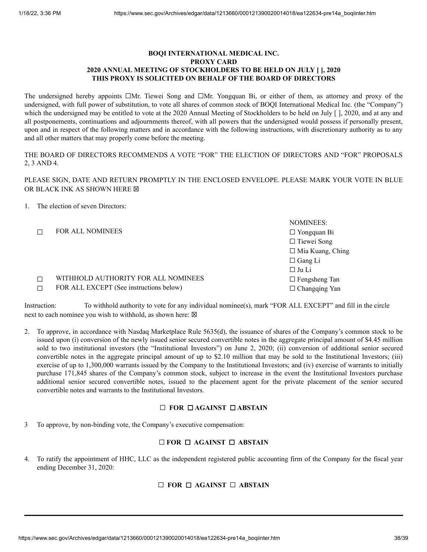# **BOQI INTERNATIONAL MEDICAL INC. PROXY CARD 2020 ANNUAL MEETING OF STOCKHOLDERS TO BE HELD ON JULY [ ], 2020 THIS PROXY IS SOLICITED ON BEHALF OF THE BOARD OF DIRECTORS**

The undersigned hereby appoints □Mr. Tiewei Song and □Mr. Yongquan Bi, or either of them, as attorney and proxy of the undersigned, with full power of substitution, to vote all shares of common stock of BOQI International Medical Inc. (the "Company") which the undersigned may be entitled to vote at the 2020 Annual Meeting of Stockholders to be held on July [ ], 2020, and at any and all postponements, continuations and adjournments thereof, with all powers that the undersigned would possess if personally present, upon and in respect of the following matters and in accordance with the following instructions, with discretionary authority as to any and all other matters that may properly come before the meeting.

THE BOARD OF DIRECTORS RECOMMENDS A VOTE "FOR" THE ELECTION OF DIRECTORS AND "FOR" PROPOSALS 2, 3 AND 4.

PLEASE SIGN, DATE AND RETURN PROMPTLY IN THE ENCLOSED ENVELOPE. PLEASE MARK YOUR VOTE IN BLUE OR BLACK INK AS SHOWN HERE  $box$ 

## 1. The election of seven Directors:

NOMINEES: ☐ FOR ALL NOMINEES ☐ Yongquan Bi ☐ Tiewei Song ☐ Mia Kuang, Ching ☐ Gang Li ☐ Ju Li ☐ WITHHOLD AUTHORITY FOR ALL NOMINEES ☐ Fengsheng Tan □ FOR ALL EXCEPT (See instructions below) □ Changqing Yan

Instruction: To withhold authority to vote for any individual nominee(s), mark "FOR ALL EXCEPT" and fill in the circle next to each nominee you wish to withhold, as shown here:  $\boxtimes$ 

2. To approve, in accordance with Nasdaq Marketplace Rule 5635(d), the issuance of shares of the Company's common stock to be issued upon (i) conversion of the newly issued senior secured convertible notes in the aggregate principal amount of \$4.45 million sold to two institutional investors (the "Institutional Investors") on June 2, 2020; (ii) conversion of additional senior secured convertible notes in the aggregate principal amount of up to \$2.10 million that may be sold to the Institutional Investors; (iii) exercise of up to 1,300,000 warrants issued by the Company to the Institutional Investors; and (iv) exercise of warrants to initially purchase 171,845 shares of the Company's common stock, subject to increase in the event the Institutional Investors purchase additional senior secured convertible notes, issued to the placement agent for the private placement of the senior secured convertible notes and warrants to the Institutional Investors.

# ☐ **FOR** ☐ **AGAINST** ☐ **ABSTAIN**

3 To approve, by non-binding vote, the Company's executive compensation:

# ☐ **FOR** ☐ **AGAINST** ☐ **ABSTAIN**

4. To ratify the appointment of HHC, LLC as the independent registered public accounting firm of the Company for the fiscal year ending December 31, 2020:

# ☐ **FOR** ☐ **AGAINST** ☐ **ABSTAIN**